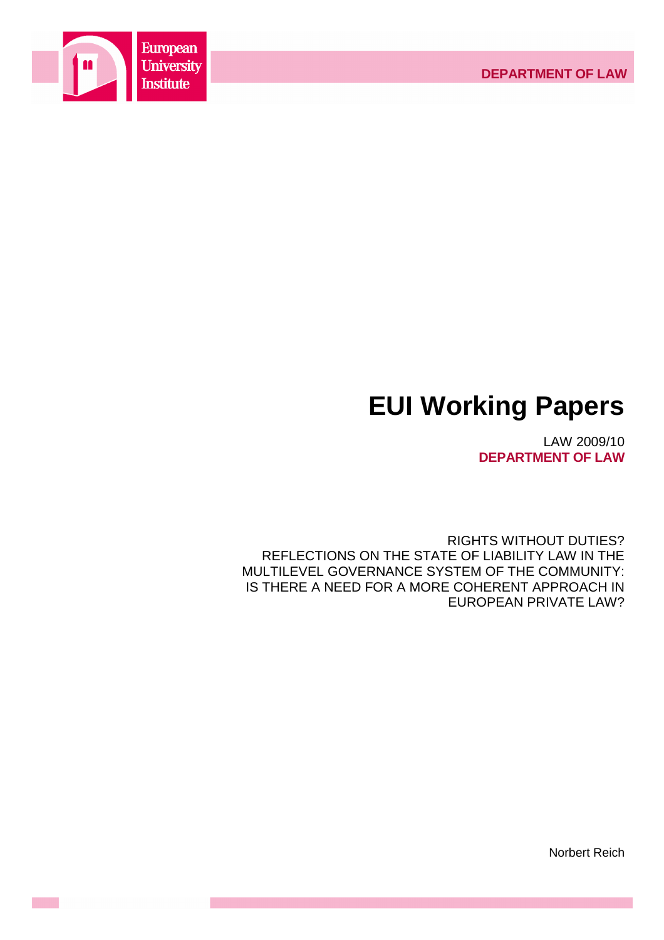



# **EUI Working Papers**

LAW 2009/10 **DEPARTMENT OF LAW**

RIGHTS WITHOUT DUTIES? REFLECTIONS ON THE STATE OF LIABILITY LAW IN THE MULTILEVEL GOVERNANCE SYSTEM OF THE COMMUNITY: IS THERE A NEED FOR A MORE COHERENT APPROACH IN EUROPEAN PRIVATE LAW?

Norbert Reich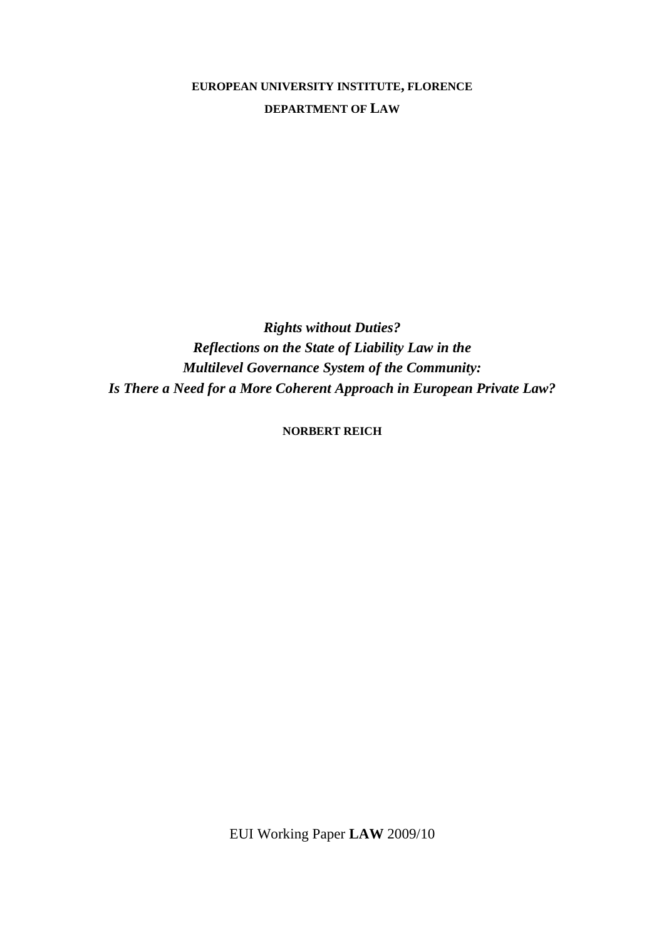# **EUROPEAN UNIVERSITY INSTITUTE, FLORENCE DEPARTMENT OF LAW**

*Rights without Duties? Reflections on the State of Liability Law in the Multilevel Governance System of the Community: Is There a Need for a More Coherent Approach in European Private Law?* 

**NORBERT REICH**

EUI Working Paper **LAW** 2009/10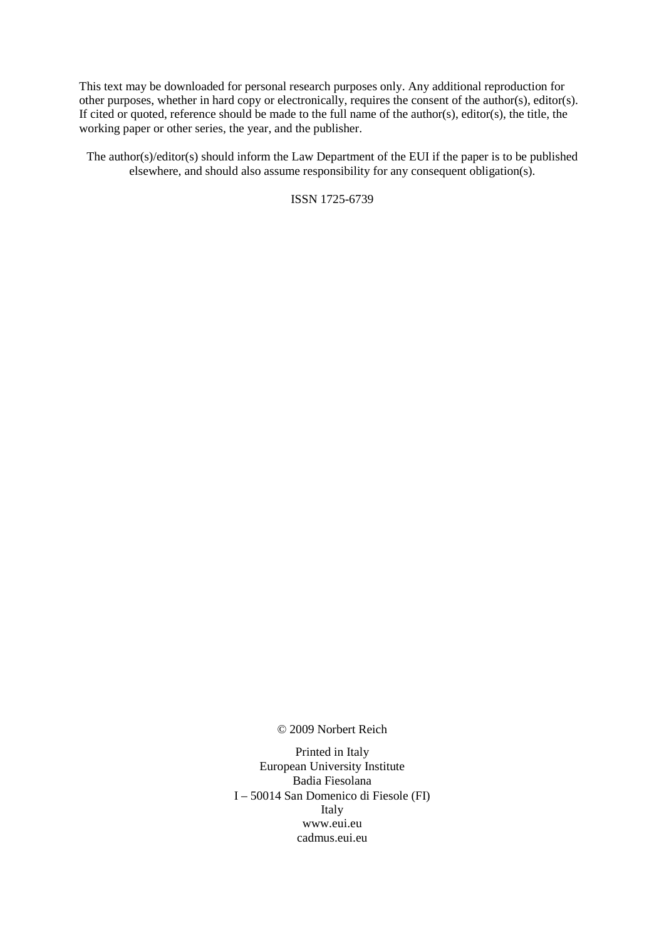This text may be downloaded for personal research purposes only. Any additional reproduction for other purposes, whether in hard copy or electronically, requires the consent of the author(s), editor(s). If cited or quoted, reference should be made to the full name of the author(s), editor(s), the title, the working paper or other series, the year, and the publisher.

The author(s)/editor(s) should inform the Law Department of the EUI if the paper is to be published elsewhere, and should also assume responsibility for any consequent obligation(s).

ISSN 1725-6739

© 2009 Norbert Reich

Printed in Italy European University Institute Badia Fiesolana I – 50014 San Domenico di Fiesole (FI) Italy www.eui.eu cadmus.eui.eu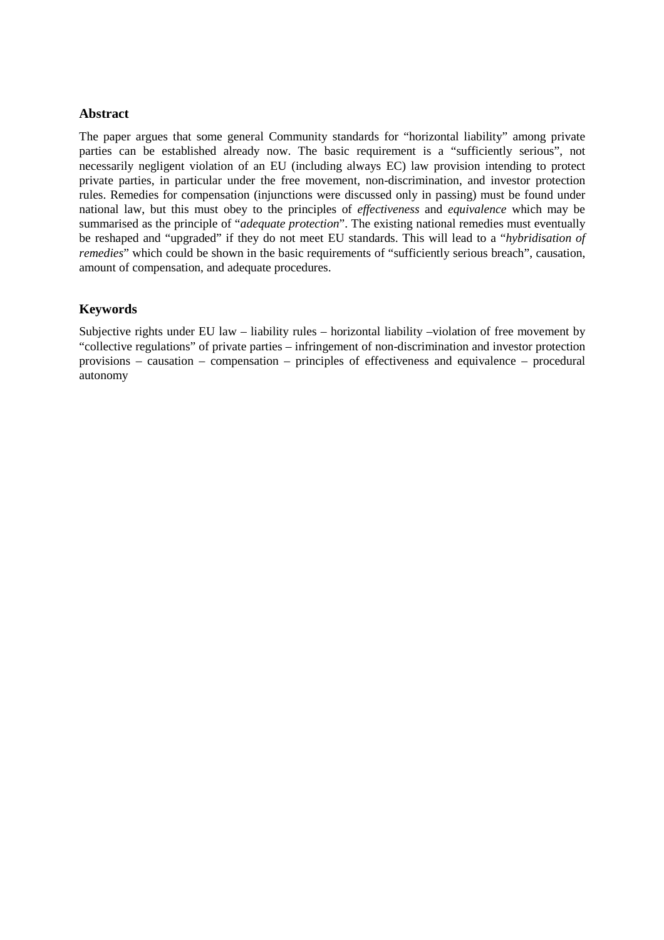## **Abstract**

The paper argues that some general Community standards for "horizontal liability" among private parties can be established already now. The basic requirement is a "sufficiently serious", not necessarily negligent violation of an EU (including always EC) law provision intending to protect private parties, in particular under the free movement, non-discrimination, and investor protection rules. Remedies for compensation (injunctions were discussed only in passing) must be found under national law, but this must obey to the principles of *effectiveness* and *equivalence* which may be summarised as the principle of "*adequate protection*". The existing national remedies must eventually be reshaped and "upgraded" if they do not meet EU standards. This will lead to a "*hybridisation of remedies*" which could be shown in the basic requirements of "sufficiently serious breach", causation, amount of compensation, and adequate procedures.

## **Keywords**

Subjective rights under EU law – liability rules – horizontal liability –violation of free movement by "collective regulations" of private parties – infringement of non-discrimination and investor protection provisions – causation – compensation – principles of effectiveness and equivalence – procedural autonomy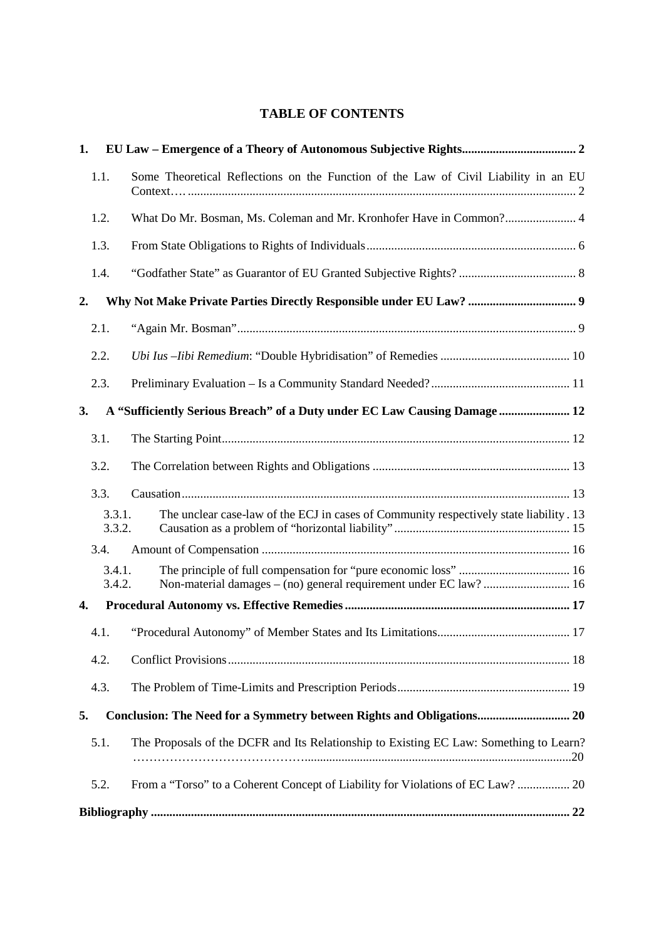## **TABLE OF CONTENTS**

| 1.                                                                              |                                                                                               |  |  |
|---------------------------------------------------------------------------------|-----------------------------------------------------------------------------------------------|--|--|
| 1.1.                                                                            | Some Theoretical Reflections on the Function of the Law of Civil Liability in an EU           |  |  |
| 1.2.                                                                            |                                                                                               |  |  |
| 1.3.                                                                            |                                                                                               |  |  |
| 1.4.                                                                            |                                                                                               |  |  |
| 2.                                                                              |                                                                                               |  |  |
| 2.1.                                                                            |                                                                                               |  |  |
| 2.2.                                                                            |                                                                                               |  |  |
| 2.3.                                                                            |                                                                                               |  |  |
| A "Sufficiently Serious Breach" of a Duty under EC Law Causing Damage  12<br>3. |                                                                                               |  |  |
| 3.1.                                                                            |                                                                                               |  |  |
| 3.2.                                                                            |                                                                                               |  |  |
| 3.3.                                                                            |                                                                                               |  |  |
| 3.3.1.<br>3.3.2.                                                                | The unclear case-law of the ECJ in cases of Community respectively state liability . 13       |  |  |
| 3.4.                                                                            |                                                                                               |  |  |
| 3.4.1.<br>3.4.2.                                                                | Non-material damages - (no) general requirement under EC law?  16                             |  |  |
| 4.                                                                              |                                                                                               |  |  |
| 4.1.                                                                            |                                                                                               |  |  |
| 4.2.                                                                            |                                                                                               |  |  |
| 4.3.                                                                            |                                                                                               |  |  |
| Conclusion: The Need for a Symmetry between Rights and Obligations 20<br>5.     |                                                                                               |  |  |
| 5.1.                                                                            | The Proposals of the DCFR and Its Relationship to Existing EC Law: Something to Learn?<br>.20 |  |  |
| 5.2.                                                                            | From a "Torso" to a Coherent Concept of Liability for Violations of EC Law?  20               |  |  |
|                                                                                 |                                                                                               |  |  |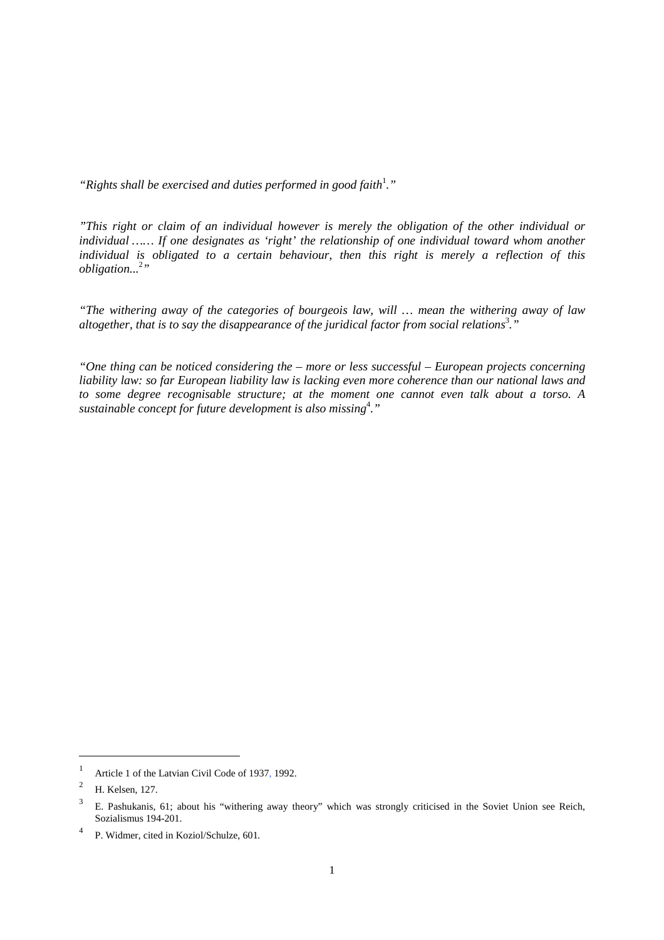"Rights shall be exercised and duties performed in good faith<sup>1</sup>."

*"This right or claim of an individual however is merely the obligation of the other individual or individual …… If one designates as 'right' the relationship of one individual toward whom another individual is obligated to a certain behaviour, then this right is merely a reflection of this obligation...*<sup>2</sup> *"* 

*"The withering away of the categories of bourgeois law, will … mean the withering away of law*  altogether, that is to say the disappearance of the juridical factor from social relations<sup>3</sup>."

*"One thing can be noticed considering the – more or less successful – European projects concerning liability law: so far European liability law is lacking even more coherence than our national laws and to some degree recognisable structure; at the moment one cannot even talk about a torso. A*  sustainable concept for future development is also missing<sup>4</sup>."

<sup>1</sup> Article 1 of the Latvian Civil Code of 1937, 1992.

<sup>2</sup> H. Kelsen, 127.

<sup>3</sup> E. Pashukanis, 61; about his "withering away theory" which was strongly criticised in the Soviet Union see Reich, Sozialismus 194-201.

<sup>4</sup> P. Widmer, cited in Koziol/Schulze, 601*.*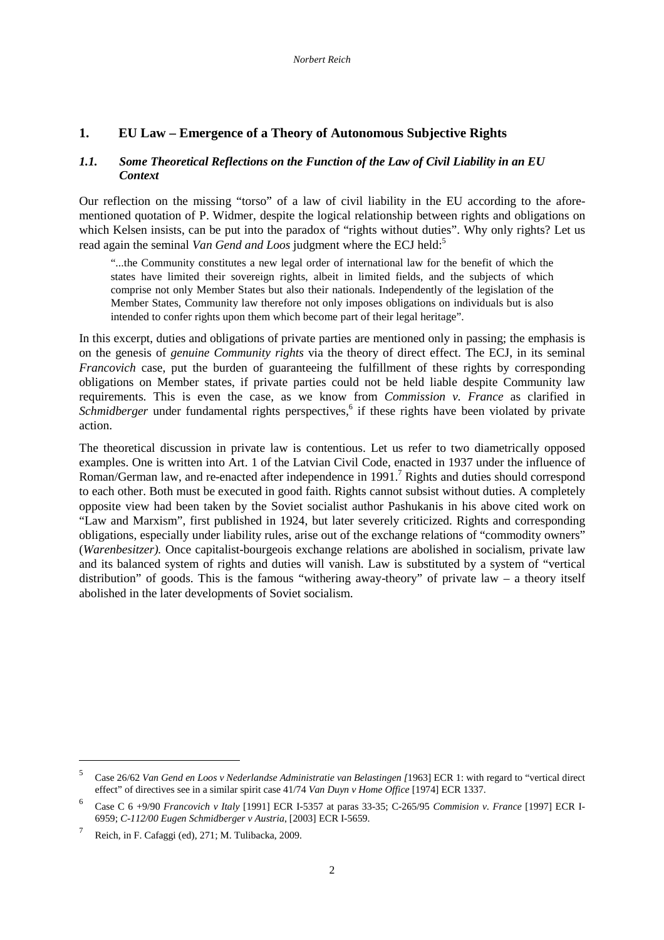## **1. EU Law – Emergence of a Theory of Autonomous Subjective Rights**

## *1.1. Some Theoretical Reflections on the Function of the Law of Civil Liability in an EU Context*

Our reflection on the missing "torso" of a law of civil liability in the EU according to the aforementioned quotation of P. Widmer, despite the logical relationship between rights and obligations on which Kelsen insists, can be put into the paradox of "rights without duties". Why only rights? Let us read again the seminal *Van Gend and Loos* judgment where the ECJ held:<sup>5</sup>

"...the Community constitutes a new legal order of international law for the benefit of which the states have limited their sovereign rights, albeit in limited fields, and the subjects of which comprise not only Member States but also their nationals. Independently of the legislation of the Member States, Community law therefore not only imposes obligations on individuals but is also intended to confer rights upon them which become part of their legal heritage".

In this excerpt, duties and obligations of private parties are mentioned only in passing; the emphasis is on the genesis of *genuine Community rights* via the theory of direct effect. The ECJ, in its seminal *Francovich* case, put the burden of guaranteeing the fulfillment of these rights by corresponding obligations on Member states, if private parties could not be held liable despite Community law requirements. This is even the case, as we know from *Commission v. France* as clarified in Schmidberger under fundamental rights perspectives,<sup>6</sup> if these rights have been violated by private action.

The theoretical discussion in private law is contentious. Let us refer to two diametrically opposed examples. One is written into Art. 1 of the Latvian Civil Code, enacted in 1937 under the influence of Roman/German law, and re-enacted after independence in 1991.<sup>7</sup> Rights and duties should correspond to each other. Both must be executed in good faith. Rights cannot subsist without duties. A completely opposite view had been taken by the Soviet socialist author Pashukanis in his above cited work on "Law and Marxism", first published in 1924, but later severely criticized. Rights and corresponding obligations, especially under liability rules, arise out of the exchange relations of "commodity owners" (*Warenbesitzer).* Once capitalist-bourgeois exchange relations are abolished in socialism, private law and its balanced system of rights and duties will vanish. Law is substituted by a system of "vertical distribution" of goods. This is the famous "withering away-theory" of private law – a theory itself abolished in the later developments of Soviet socialism.

<sup>5</sup> Case 26/62 *Van Gend en Loos v Nederlandse Administratie van Belastingen [*1963] ECR 1: with regard to "vertical direct effect" of directives see in a similar spirit case 41/74 *Van Duyn v Home Office* [1974] ECR 1337.

<sup>6</sup> Case C 6 +9/90 *Francovich v Italy* [1991] ECR I-5357 at paras 33-35; C-265/95 *Commision v. France* [1997] ECR I-6959; *C-112/00 Eugen Schmidberger v Austria*, [2003] ECR I-5659.

<sup>7</sup> Reich, in F. Cafaggi (ed), 271; M. Tulibacka, 2009.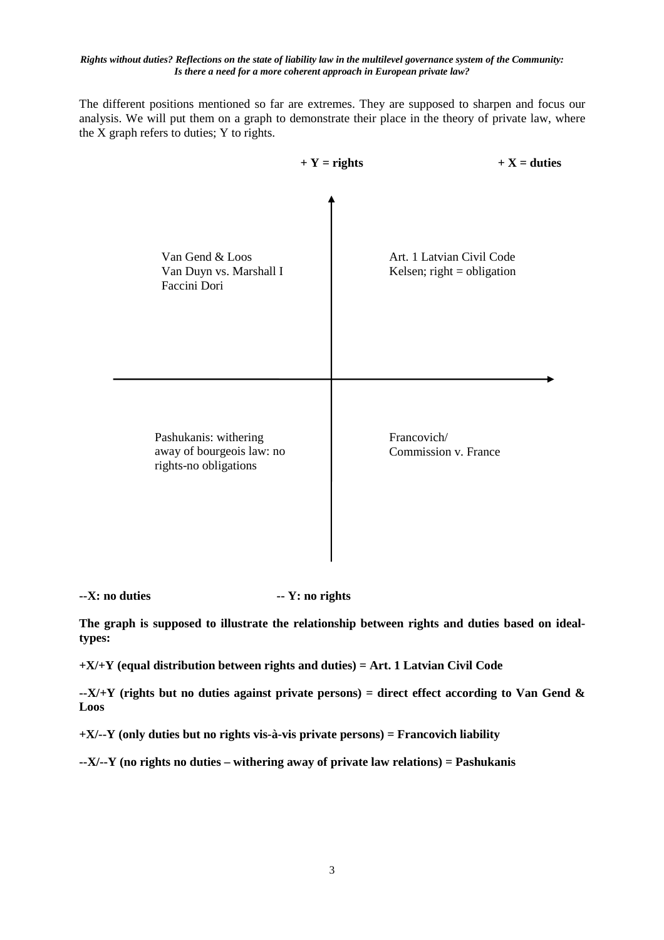The different positions mentioned so far are extremes. They are supposed to sharpen and focus our analysis. We will put them on a graph to demonstrate their place in the theory of private law, where the X graph refers to duties; Y to rights.

|                                                                             | $+Y =$ rights | $+ X = duties$                                          |
|-----------------------------------------------------------------------------|---------------|---------------------------------------------------------|
| Van Gend & Loos<br>Van Duyn vs. Marshall I<br>Faccini Dori                  |               | Art. 1 Latvian Civil Code<br>Kelsen; right = obligation |
| Pashukanis: withering<br>away of bourgeois law: no<br>rights-no obligations |               | Francovich/<br>Commission v. France                     |

**--X:** no duties **--X:** no rights

**The graph is supposed to illustrate the relationship between rights and duties based on idealtypes:** 

**+X/+Y (equal distribution between rights and duties) = Art. 1 Latvian Civil Code** 

**--X/+Y (rights but no duties against private persons) = direct effect according to Van Gend & Loos** 

**+X/--Y (only duties but no rights vis-à-vis private persons) = Francovich liability** 

**--X/--Y (no rights no duties – withering away of private law relations) = Pashukanis**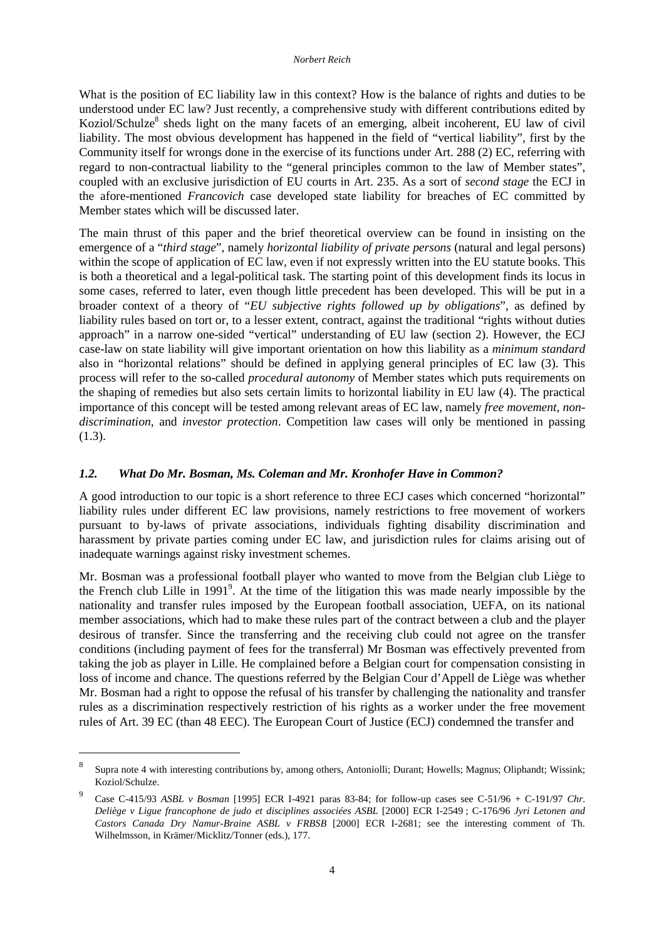What is the position of EC liability law in this context? How is the balance of rights and duties to be understood under EC law? Just recently, a comprehensive study with different contributions edited by Koziol/Schulze<sup>8</sup> sheds light on the many facets of an emerging, albeit incoherent, EU law of civil liability. The most obvious development has happened in the field of "vertical liability", first by the Community itself for wrongs done in the exercise of its functions under Art. 288 (2) EC, referring with regard to non-contractual liability to the "general principles common to the law of Member states", coupled with an exclusive jurisdiction of EU courts in Art. 235. As a sort of *second stage* the ECJ in the afore-mentioned *Francovich* case developed state liability for breaches of EC committed by Member states which will be discussed later.

The main thrust of this paper and the brief theoretical overview can be found in insisting on the emergence of a "*third stage*", namely *horizontal liability of private persons* (natural and legal persons) within the scope of application of EC law, even if not expressly written into the EU statute books. This is both a theoretical and a legal-political task. The starting point of this development finds its locus in some cases, referred to later, even though little precedent has been developed. This will be put in a broader context of a theory of "*EU subjective rights followed up by obligations*"*,* as defined by liability rules based on tort or, to a lesser extent, contract, against the traditional "rights without duties approach" in a narrow one-sided "vertical" understanding of EU law (section 2). However, the ECJ case-law on state liability will give important orientation on how this liability as a *minimum standard* also in "horizontal relations" should be defined in applying general principles of EC law (3). This process will refer to the so-called *procedural autonomy* of Member states which puts requirements on the shaping of remedies but also sets certain limits to horizontal liability in EU law (4). The practical importance of this concept will be tested among relevant areas of EC law, namely *free movement*, *nondiscrimination*, and *investor protection*. Competition law cases will only be mentioned in passing (1.3).

## *1.2. What Do Mr. Bosman, Ms. Coleman and Mr. Kronhofer Have in Common?*

A good introduction to our topic is a short reference to three ECJ cases which concerned "horizontal" liability rules under different EC law provisions, namely restrictions to free movement of workers pursuant to by-laws of private associations, individuals fighting disability discrimination and harassment by private parties coming under EC law, and jurisdiction rules for claims arising out of inadequate warnings against risky investment schemes.

Mr. Bosman was a professional football player who wanted to move from the Belgian club Liège to the French club Lille in  $1991^9$ . At the time of the litigation this was made nearly impossible by the nationality and transfer rules imposed by the European football association, UEFA, on its national member associations, which had to make these rules part of the contract between a club and the player desirous of transfer. Since the transferring and the receiving club could not agree on the transfer conditions (including payment of fees for the transferral) Mr Bosman was effectively prevented from taking the job as player in Lille. He complained before a Belgian court for compensation consisting in loss of income and chance. The questions referred by the Belgian Cour d'Appell de Liège was whether Mr. Bosman had a right to oppose the refusal of his transfer by challenging the nationality and transfer rules as a discrimination respectively restriction of his rights as a worker under the free movement rules of Art. 39 EC (than 48 EEC). The European Court of Justice (ECJ) condemned the transfer and

<sup>8</sup> Supra note 4 with interesting contributions by, among others, Antoniolli; Durant; Howells; Magnus; Oliphandt; Wissink; Koziol/Schulze.

<sup>9</sup> Case C-415/93 *ASBL v Bosman* [1995] ECR I-4921 paras 83-84; for follow-up cases see C-51/96 + C-191/97 *Chr. Deliège v Ligue francophone de judo et disciplines associées ASBL* [2000] ECR I-2549 ; C-176/96 *Jyri Letonen and Castors Canada Dry Namur-Braine ASBL v FRBSB* [2000] ECR I-2681; see the interesting comment of Th. Wilhelmsson, in Krämer/Micklitz/Tonner (eds.), 177.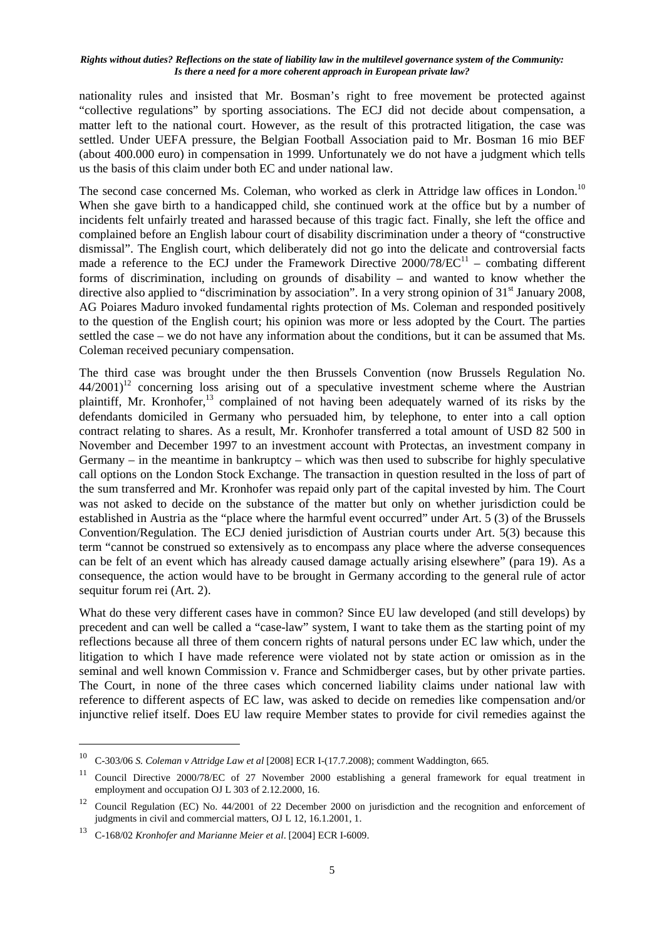nationality rules and insisted that Mr. Bosman's right to free movement be protected against "collective regulations" by sporting associations. The ECJ did not decide about compensation, a matter left to the national court. However, as the result of this protracted litigation, the case was settled. Under UEFA pressure, the Belgian Football Association paid to Mr. Bosman 16 mio BEF (about 400.000 euro) in compensation in 1999. Unfortunately we do not have a judgment which tells us the basis of this claim under both EC and under national law.

The second case concerned Ms. Coleman, who worked as clerk in Attridge law offices in London.<sup>10</sup> When she gave birth to a handicapped child, she continued work at the office but by a number of incidents felt unfairly treated and harassed because of this tragic fact. Finally, she left the office and complained before an English labour court of disability discrimination under a theory of "constructive dismissal". The English court, which deliberately did not go into the delicate and controversial facts made a reference to the ECJ under the Framework Directive  $2000/78/EC^{11}$  – combating different forms of discrimination, including on grounds of disability – and wanted to know whether the directive also applied to "discrimination by association". In a very strong opinion of  $31<sup>st</sup>$  January 2008, AG Poiares Maduro invoked fundamental rights protection of Ms. Coleman and responded positively to the question of the English court; his opinion was more or less adopted by the Court. The parties settled the case – we do not have any information about the conditions, but it can be assumed that Ms. Coleman received pecuniary compensation.

The third case was brought under the then Brussels Convention (now Brussels Regulation No.  $44/2001$ <sup>12</sup> concerning loss arising out of a speculative investment scheme where the Austrian plaintiff, Mr. Kronhofer,<sup>13</sup> complained of not having been adequately warned of its risks by the defendants domiciled in Germany who persuaded him, by telephone, to enter into a call option contract relating to shares. As a result, Mr. Kronhofer transferred a total amount of USD 82 500 in November and December 1997 to an investment account with Protectas, an investment company in Germany – in the meantime in bankruptcy – which was then used to subscribe for highly speculative call options on the London Stock Exchange. The transaction in question resulted in the loss of part of the sum transferred and Mr. Kronhofer was repaid only part of the capital invested by him. The Court was not asked to decide on the substance of the matter but only on whether jurisdiction could be established in Austria as the "place where the harmful event occurred" under Art. 5 (3) of the Brussels Convention/Regulation. The ECJ denied jurisdiction of Austrian courts under Art. 5(3) because this term "cannot be construed so extensively as to encompass any place where the adverse consequences can be felt of an event which has already caused damage actually arising elsewhere" (para 19). As a consequence, the action would have to be brought in Germany according to the general rule of actor sequitur forum rei (Art. 2).

What do these very different cases have in common? Since EU law developed (and still develops) by precedent and can well be called a "case-law" system, I want to take them as the starting point of my reflections because all three of them concern rights of natural persons under EC law which, under the litigation to which I have made reference were violated not by state action or omission as in the seminal and well known Commission v. France and Schmidberger cases, but by other private parties. The Court, in none of the three cases which concerned liability claims under national law with reference to different aspects of EC law, was asked to decide on remedies like compensation and/or injunctive relief itself. Does EU law require Member states to provide for civil remedies against the

<sup>10</sup> C-303/06 *S. Coleman v Attridge Law et al* [2008] ECR I-(17.7.2008); comment Waddington, 665.

<sup>&</sup>lt;sup>11</sup> Council Directive 2000/78/EC of 27 November 2000 establishing a general framework for equal treatment in employment and occupation OJ L 303 of 2.12.2000, 16.

<sup>&</sup>lt;sup>12</sup> Council Regulation (EC) No. 44/2001 of 22 December 2000 on jurisdiction and the recognition and enforcement of judgments in civil and commercial matters, OJ L 12, 16.1.2001, 1.

<sup>13</sup> C-168/02 *Kronhofer and Marianne Meier et al*. [2004] ECR I-6009.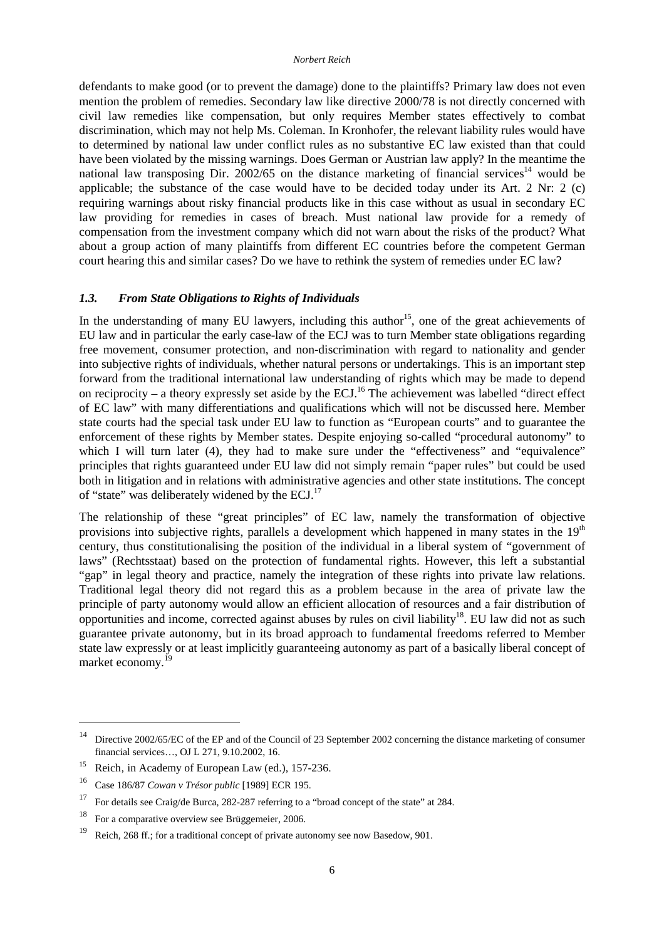#### *Norbert Reich*

defendants to make good (or to prevent the damage) done to the plaintiffs? Primary law does not even mention the problem of remedies. Secondary law like directive 2000/78 is not directly concerned with civil law remedies like compensation, but only requires Member states effectively to combat discrimination, which may not help Ms. Coleman. In Kronhofer, the relevant liability rules would have to determined by national law under conflict rules as no substantive EC law existed than that could have been violated by the missing warnings. Does German or Austrian law apply? In the meantime the national law transposing Dir. 2002/65 on the distance marketing of financial services<sup>14</sup> would be applicable; the substance of the case would have to be decided today under its Art. 2 Nr: 2 (c) requiring warnings about risky financial products like in this case without as usual in secondary EC law providing for remedies in cases of breach. Must national law provide for a remedy of compensation from the investment company which did not warn about the risks of the product? What about a group action of many plaintiffs from different EC countries before the competent German court hearing this and similar cases? Do we have to rethink the system of remedies under EC law?

## *1.3. From State Obligations to Rights of Individuals*

In the understanding of many EU lawyers, including this author<sup>15</sup>, one of the great achievements of EU law and in particular the early case-law of the ECJ was to turn Member state obligations regarding free movement, consumer protection, and non-discrimination with regard to nationality and gender into subjective rights of individuals, whether natural persons or undertakings. This is an important step forward from the traditional international law understanding of rights which may be made to depend on reciprocity – a theory expressly set aside by the ECJ.<sup>16</sup> The achievement was labelled "direct effect" of EC law" with many differentiations and qualifications which will not be discussed here. Member state courts had the special task under EU law to function as "European courts" and to guarantee the enforcement of these rights by Member states. Despite enjoying so-called "procedural autonomy" to which I will turn later (4), they had to make sure under the "effectiveness" and "equivalence" principles that rights guaranteed under EU law did not simply remain "paper rules" but could be used both in litigation and in relations with administrative agencies and other state institutions. The concept of "state" was deliberately widened by the ECJ.<sup>17</sup>

The relationship of these "great principles" of EC law, namely the transformation of objective provisions into subjective rights, parallels a development which happened in many states in the  $19<sup>th</sup>$ century, thus constitutionalising the position of the individual in a liberal system of "government of laws" (Rechtsstaat) based on the protection of fundamental rights. However, this left a substantial "gap" in legal theory and practice, namely the integration of these rights into private law relations. Traditional legal theory did not regard this as a problem because in the area of private law the principle of party autonomy would allow an efficient allocation of resources and a fair distribution of opportunities and income, corrected against abuses by rules on civil liability<sup>18</sup>. EU law did not as such guarantee private autonomy, but in its broad approach to fundamental freedoms referred to Member state law expressly or at least implicitly guaranteeing autonomy as part of a basically liberal concept of market economy.<sup>19</sup>

<sup>&</sup>lt;sup>14</sup> Directive 2002/65/EC of the EP and of the Council of 23 September 2002 concerning the distance marketing of consumer financial services…, OJ L 271, 9.10.2002, 16.

<sup>&</sup>lt;sup>15</sup> Reich, in Academy of European Law (ed.), 157-236.

<sup>16</sup> Case 186/87 *Cowan v Trésor public* [1989] ECR 195.

<sup>17</sup> For details see Craig/de Burca, 282-287 referring to a "broad concept of the state" at 284.

<sup>18</sup> For a comparative overview see Brüggemeier, 2006.

<sup>&</sup>lt;sup>19</sup> Reich, 268 ff.; for a traditional concept of private autonomy see now Basedow, 901.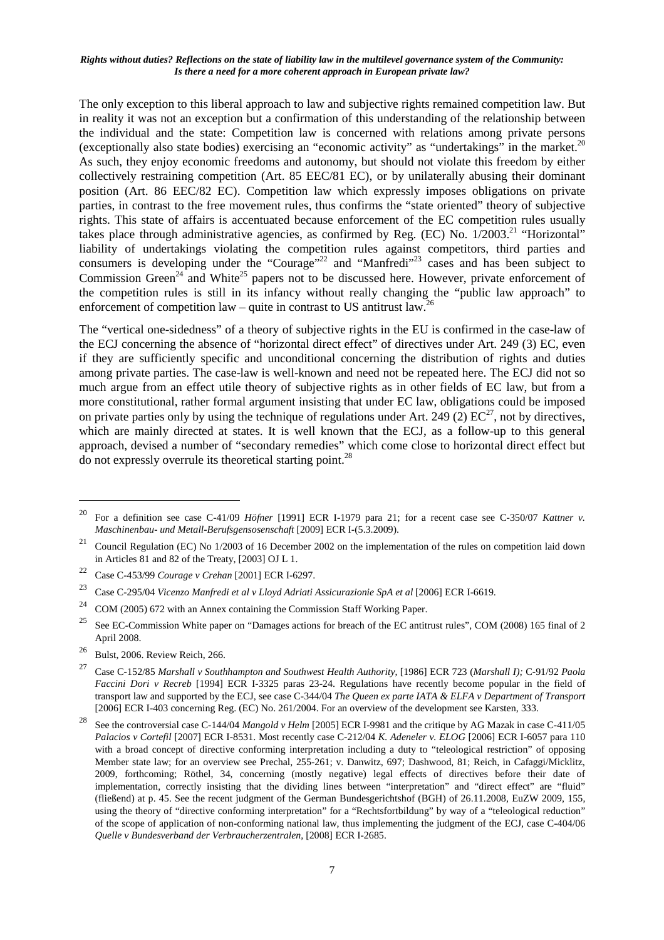The only exception to this liberal approach to law and subjective rights remained competition law. But in reality it was not an exception but a confirmation of this understanding of the relationship between the individual and the state: Competition law is concerned with relations among private persons (exceptionally also state bodies) exercising an "economic activity" as "undertakings" in the market. $^{20}$ As such, they enjoy economic freedoms and autonomy, but should not violate this freedom by either collectively restraining competition (Art. 85 EEC/81 EC), or by unilaterally abusing their dominant position (Art. 86 EEC/82 EC). Competition law which expressly imposes obligations on private parties, in contrast to the free movement rules, thus confirms the "state oriented" theory of subjective rights. This state of affairs is accentuated because enforcement of the EC competition rules usually takes place through administrative agencies, as confirmed by Reg. (EC) No.  $1/2003$ <sup>21</sup> "Horizontal" liability of undertakings violating the competition rules against competitors, third parties and consumers is developing under the "Courage"<sup>22</sup> and "Manfredi"<sup>23</sup> cases and has been subject to Commission Green<sup>24</sup> and White<sup>25</sup> papers not to be discussed here. However, private enforcement of the competition rules is still in its infancy without really changing the "public law approach" to enforcement of competition law – quite in contrast to US antitrust law.<sup>26</sup>

The "vertical one-sidedness" of a theory of subjective rights in the EU is confirmed in the case-law of the ECJ concerning the absence of "horizontal direct effect" of directives under Art. 249 (3) EC, even if they are sufficiently specific and unconditional concerning the distribution of rights and duties among private parties. The case-law is well-known and need not be repeated here. The ECJ did not so much argue from an effect utile theory of subjective rights as in other fields of EC law, but from a more constitutional, rather formal argument insisting that under EC law, obligations could be imposed on private parties only by using the technique of regulations under Art. 249 (2)  $EC^{27}$ , not by directives, which are mainly directed at states. It is well known that the ECJ, as a follow-up to this general approach, devised a number of "secondary remedies" which come close to horizontal direct effect but do not expressly overrule its theoretical starting point.<sup>28</sup>

 $26$  Bulst, 2006. Review Reich, 266.

<sup>20</sup> For a definition see case C-41/09 *Höfner* [1991] ECR I-1979 para 21; for a recent case see C-350/07 *Kattner v. Maschinenbau- und Metall-Berufsgensosenschaft* [2009] ECR I-(5.3.2009).

<sup>&</sup>lt;sup>21</sup> Council Regulation (EC) No 1/2003 of 16 December 2002 on the implementation of the rules on competition laid down in Articles 81 and 82 of the Treaty, [2003] OJ L 1.

<sup>22</sup> Case C-453/99 *Courage v Crehan* [2001] ECR I-6297.

<sup>23</sup> Case C-295/04 *Vicenzo Manfredi et al v Lloyd Adriati Assicurazionie SpA et al* [2006] ECR I-6619.

<sup>24</sup> COM (2005) 672 with an Annex containing the Commission Staff Working Paper.

<sup>&</sup>lt;sup>25</sup> See EC-Commission White paper on "Damages actions for breach of the EC antitrust rules", COM (2008) 165 final of 2 April 2008.

<sup>27</sup> Case C-152/85 *Marshall v Southhampton and Southwest Health Authority*, [1986] ECR 723 (*Marshall I);* C-91/92 *Paola Faccini Dori v Recreb* [1994] ECR I-3325 paras 23-24. Regulations have recently become popular in the field of transport law and supported by the ECJ, see case C-344/04 *The Queen ex parte IATA & ELFA v Department of Transport* [2006] ECR I-403 concerning Reg. (EC) No. 261/2004. For an overview of the development see Karsten, 333.

<sup>28</sup> See the controversial case C-144/04 *Mangold v Helm* [2005] ECR I-9981 and the critique by AG Mazak in case C-411/05 *Palacios v Cortefil* [2007] ECR I-8531. Most recently case C-212/04 *K. Adeneler v. ELOG* [2006] ECR I-6057 para 110 with a broad concept of directive conforming interpretation including a duty to "teleological restriction" of opposing Member state law; for an overview see Prechal, 255-261; v. Danwitz, 697; Dashwood, 81; Reich, in Cafaggi/Micklitz, 2009, forthcoming; Röthel, 34, concerning (mostly negative) legal effects of directives before their date of implementation, correctly insisting that the dividing lines between "interpretation" and "direct effect" are "fluid" (fließend) at p. 45. See the recent judgment of the German Bundesgerichtshof (BGH) of 26.11.2008, EuZW 2009, 155, using the theory of "directive conforming interpretation" for a "Rechtsfortbildung" by way of a "teleological reduction" of the scope of application of non-conforming national law, thus implementing the judgment of the ECJ, case C-404/06 *Quelle v Bundesverband der Verbraucherzentralen*, [2008] ECR I-2685.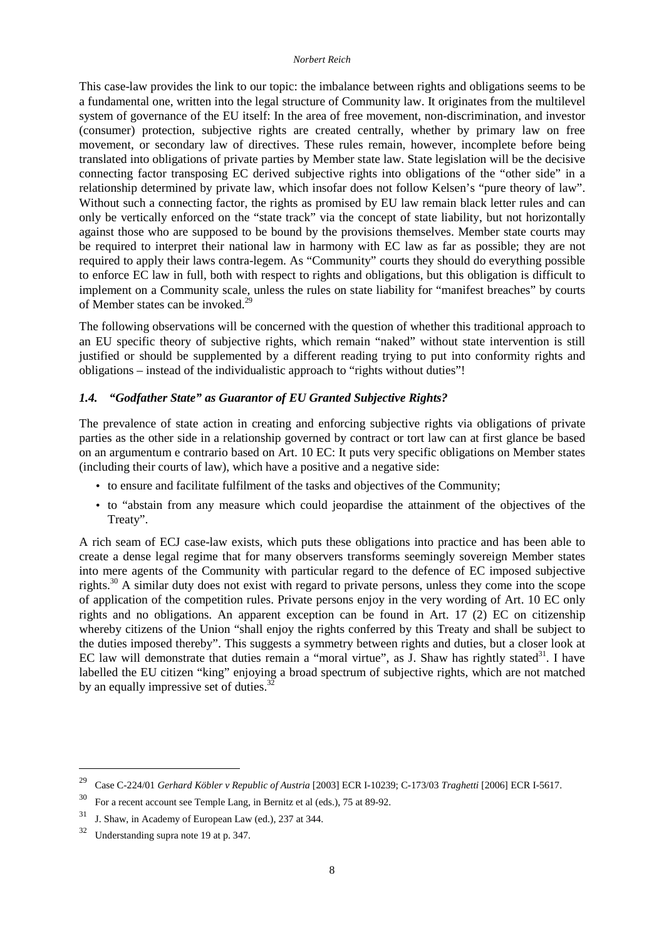#### *Norbert Reich*

This case-law provides the link to our topic: the imbalance between rights and obligations seems to be a fundamental one, written into the legal structure of Community law. It originates from the multilevel system of governance of the EU itself: In the area of free movement, non-discrimination, and investor (consumer) protection, subjective rights are created centrally, whether by primary law on free movement, or secondary law of directives. These rules remain, however, incomplete before being translated into obligations of private parties by Member state law. State legislation will be the decisive connecting factor transposing EC derived subjective rights into obligations of the "other side" in a relationship determined by private law, which insofar does not follow Kelsen's "pure theory of law". Without such a connecting factor, the rights as promised by EU law remain black letter rules and can only be vertically enforced on the "state track" via the concept of state liability, but not horizontally against those who are supposed to be bound by the provisions themselves. Member state courts may be required to interpret their national law in harmony with EC law as far as possible; they are not required to apply their laws contra-legem. As "Community" courts they should do everything possible to enforce EC law in full, both with respect to rights and obligations, but this obligation is difficult to implement on a Community scale, unless the rules on state liability for "manifest breaches" by courts of Member states can be invoked.<sup>29</sup>

The following observations will be concerned with the question of whether this traditional approach to an EU specific theory of subjective rights, which remain "naked" without state intervention is still justified or should be supplemented by a different reading trying to put into conformity rights and obligations – instead of the individualistic approach to "rights without duties"!

## *1.4. "Godfather State" as Guarantor of EU Granted Subjective Rights?*

The prevalence of state action in creating and enforcing subjective rights via obligations of private parties as the other side in a relationship governed by contract or tort law can at first glance be based on an argumentum e contrario based on Art. 10 EC: It puts very specific obligations on Member states (including their courts of law), which have a positive and a negative side:

- to ensure and facilitate fulfilment of the tasks and objectives of the Community;
- to "abstain from any measure which could jeopardise the attainment of the objectives of the Treaty".

A rich seam of ECJ case-law exists, which puts these obligations into practice and has been able to create a dense legal regime that for many observers transforms seemingly sovereign Member states into mere agents of the Community with particular regard to the defence of EC imposed subjective rights.<sup>30</sup> A similar duty does not exist with regard to private persons, unless they come into the scope of application of the competition rules. Private persons enjoy in the very wording of Art. 10 EC only rights and no obligations. An apparent exception can be found in Art. 17 (2) EC on citizenship whereby citizens of the Union "shall enjoy the rights conferred by this Treaty and shall be subject to the duties imposed thereby". This suggests a symmetry between rights and duties, but a closer look at EC law will demonstrate that duties remain a "moral virtue", as J. Shaw has rightly stated $31$ . I have labelled the EU citizen "king" enjoying a broad spectrum of subjective rights, which are not matched by an equally impressive set of duties.<sup>32</sup>

<sup>29</sup> Case C-224/01 *Gerhard Köbler v Republic of Austria* [2003] ECR I-10239; C-173/03 *Traghetti* [2006] ECR I-5617.

<sup>30</sup> For a recent account see Temple Lang, in Bernitz et al (eds.), 75 at 89-92.

 $31$  J. Shaw, in Academy of European Law (ed.), 237 at 344.

 $32$  Understanding supra note 19 at p. 347.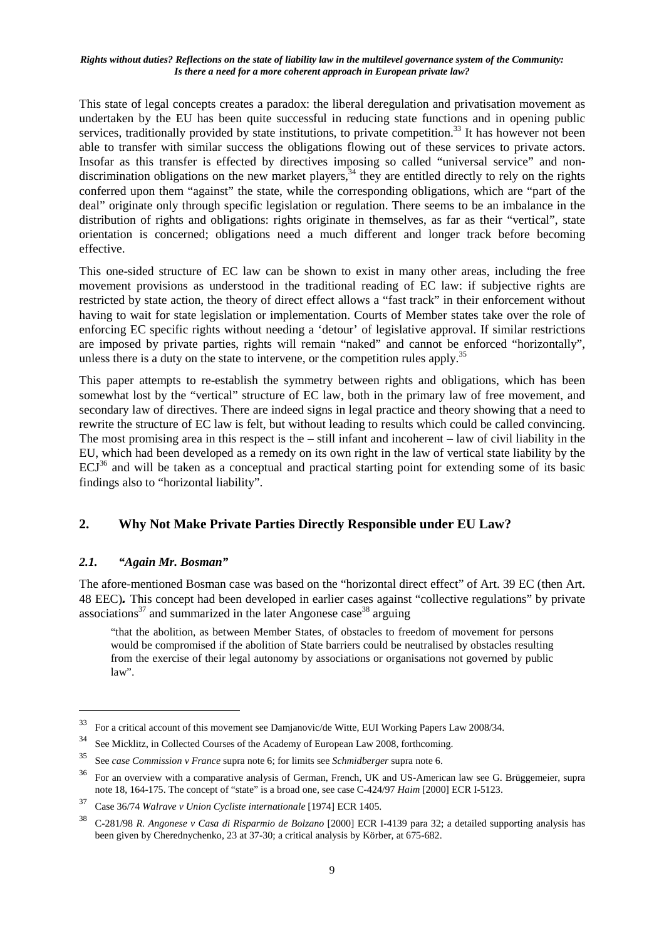This state of legal concepts creates a paradox: the liberal deregulation and privatisation movement as undertaken by the EU has been quite successful in reducing state functions and in opening public services, traditionally provided by state institutions, to private competition.<sup>33</sup> It has however not been able to transfer with similar success the obligations flowing out of these services to private actors. Insofar as this transfer is effected by directives imposing so called "universal service" and nondiscrimination obligations on the new market players,  $34$  they are entitled directly to rely on the rights conferred upon them "against" the state, while the corresponding obligations, which are "part of the deal" originate only through specific legislation or regulation. There seems to be an imbalance in the distribution of rights and obligations: rights originate in themselves, as far as their "vertical", state orientation is concerned; obligations need a much different and longer track before becoming effective.

This one-sided structure of EC law can be shown to exist in many other areas, including the free movement provisions as understood in the traditional reading of EC law: if subjective rights are restricted by state action, the theory of direct effect allows a "fast track" in their enforcement without having to wait for state legislation or implementation. Courts of Member states take over the role of enforcing EC specific rights without needing a 'detour' of legislative approval. If similar restrictions are imposed by private parties, rights will remain "naked" and cannot be enforced "horizontally", unless there is a duty on the state to intervene, or the competition rules apply.<sup>35</sup>

This paper attempts to re-establish the symmetry between rights and obligations, which has been somewhat lost by the "vertical" structure of EC law, both in the primary law of free movement, and secondary law of directives. There are indeed signs in legal practice and theory showing that a need to rewrite the structure of EC law is felt, but without leading to results which could be called convincing. The most promising area in this respect is the – still infant and incoherent – law of civil liability in the EU, which had been developed as a remedy on its own right in the law of vertical state liability by the  $ECJ<sup>36</sup>$  and will be taken as a conceptual and practical starting point for extending some of its basic findings also to "horizontal liability".

## **2. Why Not Make Private Parties Directly Responsible under EU Law?**

## *2.1. "Again Mr. Bosman"*

 $\overline{a}$ 

The afore-mentioned Bosman case was based on the "horizontal direct effect" of Art. 39 EC (then Art. 48 EEC)*.* This concept had been developed in earlier cases against "collective regulations" by private associations<sup>37</sup> and summarized in the later Angonese case<sup>38</sup> arguing

"that the abolition, as between Member States, of obstacles to freedom of movement for persons would be compromised if the abolition of State barriers could be neutralised by obstacles resulting from the exercise of their legal autonomy by associations or organisations not governed by public law".

<sup>&</sup>lt;sup>33</sup> For a critical account of this movement see Damjanovic/de Witte, EUI Working Papers Law 2008/34.

<sup>34</sup> See Micklitz, in Collected Courses of the Academy of European Law 2008, forthcoming.

<sup>35</sup> See *case Commission v France* supra note 6; for limits see *Schmidberger* supra note 6.

<sup>36</sup> For an overview with a comparative analysis of German, French, UK and US-American law see G. Brüggemeier, supra note 18, 164-175. The concept of "state" is a broad one, see case C-424/97 *Haim* [2000] ECR I-5123.

<sup>37</sup> Case 36/74 *Walrave v Union Cycliste internationale* [1974] ECR 1405.

<sup>38</sup> C-281/98 *R. Angonese v Casa di Risparmio de Bolzano* [2000] ECR I-4139 para 32; a detailed supporting analysis has been given by Cherednychenko, 23 at 37-30; a critical analysis by Körber, at 675-682.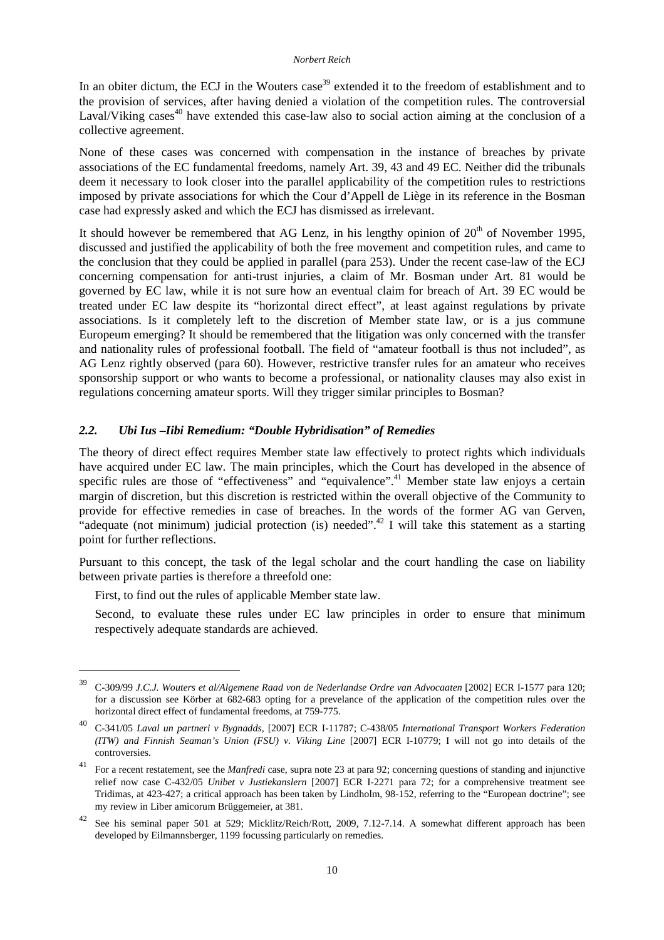In an obiter dictum, the ECJ in the Wouters case<sup>39</sup> extended it to the freedom of establishment and to the provision of services, after having denied a violation of the competition rules. The controversial Laval/Viking cases<sup>40</sup> have extended this case-law also to social action aiming at the conclusion of a collective agreement.

None of these cases was concerned with compensation in the instance of breaches by private associations of the EC fundamental freedoms, namely Art. 39, 43 and 49 EC. Neither did the tribunals deem it necessary to look closer into the parallel applicability of the competition rules to restrictions imposed by private associations for which the Cour d'Appell de Liège in its reference in the Bosman case had expressly asked and which the ECJ has dismissed as irrelevant.

It should however be remembered that AG Lenz, in his lengthy opinion of  $20<sup>th</sup>$  of November 1995, discussed and justified the applicability of both the free movement and competition rules, and came to the conclusion that they could be applied in parallel (para 253). Under the recent case-law of the ECJ concerning compensation for anti-trust injuries, a claim of Mr. Bosman under Art. 81 would be governed by EC law, while it is not sure how an eventual claim for breach of Art. 39 EC would be treated under EC law despite its "horizontal direct effect", at least against regulations by private associations. Is it completely left to the discretion of Member state law, or is a jus commune Europeum emerging? It should be remembered that the litigation was only concerned with the transfer and nationality rules of professional football. The field of "amateur football is thus not included", as AG Lenz rightly observed (para 60). However, restrictive transfer rules for an amateur who receives sponsorship support or who wants to become a professional, or nationality clauses may also exist in regulations concerning amateur sports. Will they trigger similar principles to Bosman?

## *2.2. Ubi Ius –Iibi Remedium: "Double Hybridisation" of Remedies*

The theory of direct effect requires Member state law effectively to protect rights which individuals have acquired under EC law. The main principles, which the Court has developed in the absence of specific rules are those of "effectiveness" and "equivalence".<sup>41</sup> Member state law enjoys a certain margin of discretion, but this discretion is restricted within the overall objective of the Community to provide for effective remedies in case of breaches. In the words of the former AG van Gerven, "adequate (not minimum) judicial protection (is) needed".<sup>42</sup> I will take this statement as a starting point for further reflections.

Pursuant to this concept, the task of the legal scholar and the court handling the case on liability between private parties is therefore a threefold one:

First, to find out the rules of applicable Member state law.

l

Second, to evaluate these rules under EC law principles in order to ensure that minimum respectively adequate standards are achieved.

<sup>39</sup> C-309/99 *J.C.J. Wouters et al/Algemene Raad von de Nederlandse Ordre van Advocaaten* [2002] ECR I-1577 para 120; for a discussion see Körber at 682-683 opting for a prevelance of the application of the competition rules over the horizontal direct effect of fundamental freedoms, at 759-775.

<sup>40</sup> C-341/05 *Laval un partneri v Bygnadds*, [2007] ECR I-11787; C-438/05 *International Transport Workers Federation (ITW) and Finnish Seaman's Union (FSU) v. Viking Line* [2007] ECR I-10779; I will not go into details of the controversies.

<sup>41</sup> For a recent restatement, see the *Manfredi* case, supra note 23 at para 92; concerning questions of standing and injunctive relief now case C-432/05 *Unibet v Justiekanslern* [2007] ECR I-2271 para 72; for a comprehensive treatment see Tridimas, at 423-427; a critical approach has been taken by Lindholm, 98-152, referring to the "European doctrine"; see my review in Liber amicorum Brüggemeier, at 381.

<sup>42</sup> See his seminal paper 501 at 529; Micklitz/Reich/Rott, 2009, 7.12-7.14. A somewhat different approach has been developed by Eilmannsberger, 1199 focussing particularly on remedies.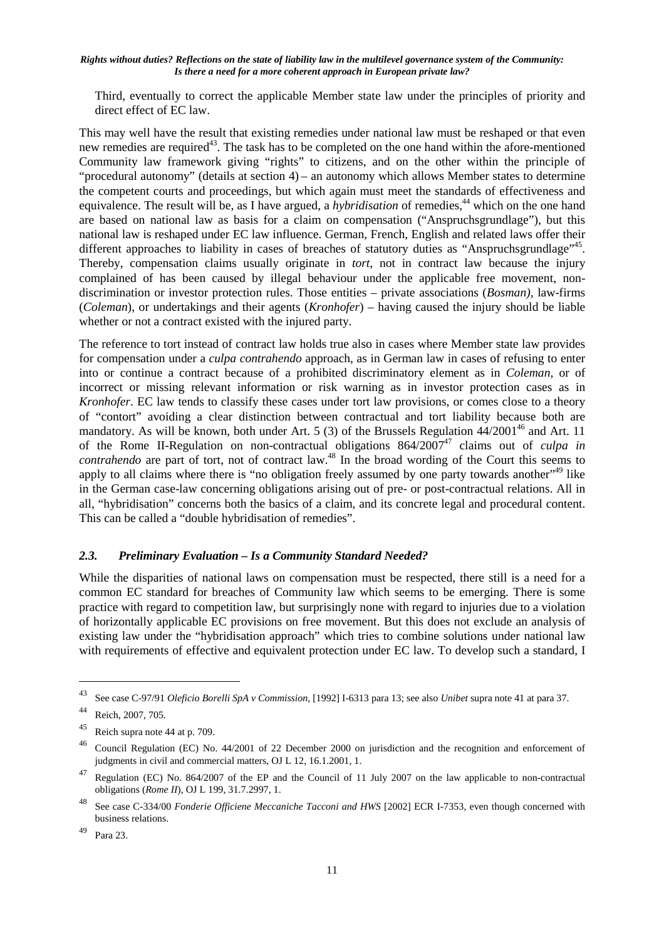Third, eventually to correct the applicable Member state law under the principles of priority and direct effect of EC law.

This may well have the result that existing remedies under national law must be reshaped or that even new remedies are required<sup>43</sup>. The task has to be completed on the one hand within the afore-mentioned Community law framework giving "rights" to citizens, and on the other within the principle of "procedural autonomy" (details at section 4) – an autonomy which allows Member states to determine the competent courts and proceedings, but which again must meet the standards of effectiveness and equivalence. The result will be, as I have argued, a *hybridisation* of remedies,<sup>44</sup> which on the one hand are based on national law as basis for a claim on compensation ("Anspruchsgrundlage"), but this national law is reshaped under EC law influence. German, French, English and related laws offer their different approaches to liability in cases of breaches of statutory duties as "Anspruchsgrundlage"<sup>45</sup>. Thereby, compensation claims usually originate in *tort*, not in contract law because the injury complained of has been caused by illegal behaviour under the applicable free movement, nondiscrimination or investor protection rules. Those entities – private associations (*Bosman),* law-firms (*Coleman*), or undertakings and their agents (*Kronhofer*) – having caused the injury should be liable whether or not a contract existed with the injured party.

The reference to tort instead of contract law holds true also in cases where Member state law provides for compensation under a *culpa contrahendo* approach, as in German law in cases of refusing to enter into or continue a contract because of a prohibited discriminatory element as in *Coleman,* or of incorrect or missing relevant information or risk warning as in investor protection cases as in *Kronhofer*. EC law tends to classify these cases under tort law provisions, or comes close to a theory of "contort" avoiding a clear distinction between contractual and tort liability because both are mandatory. As will be known, both under Art. 5 (3) of the Brussels Regulation  $44/2001^{46}$  and Art. 11 of the Rome II-Regulation on non-contractual obligations 864/2007<sup>47</sup> claims out of *culpa in contrahendo* are part of tort, not of contract law.<sup>48</sup> In the broad wording of the Court this seems to apply to all claims where there is "no obligation freely assumed by one party towards another"<sup>49</sup> like in the German case-law concerning obligations arising out of pre- or post-contractual relations. All in all, "hybridisation" concerns both the basics of a claim, and its concrete legal and procedural content. This can be called a "double hybridisation of remedies".

## *2.3. Preliminary Evaluation – Is a Community Standard Needed?*

While the disparities of national laws on compensation must be respected, there still is a need for a common EC standard for breaches of Community law which seems to be emerging. There is some practice with regard to competition law, but surprisingly none with regard to injuries due to a violation of horizontally applicable EC provisions on free movement. But this does not exclude an analysis of existing law under the "hybridisation approach" which tries to combine solutions under national law with requirements of effective and equivalent protection under EC law. To develop such a standard, I

<sup>43</sup> See case C-97/91 *Oleficio Borelli SpA v Commission*, [1992] I-6313 para 13; see also *Unibet* supra note 41 at para 37.

<sup>44</sup> Reich, 2007, 705.

<sup>45</sup> Reich supra note 44 at p. 709.

<sup>&</sup>lt;sup>46</sup> Council Regulation (EC) No. 44/2001 of 22 December 2000 on jurisdiction and the recognition and enforcement of judgments in civil and commercial matters, OJ L 12, 16.1.2001, 1.

<sup>&</sup>lt;sup>47</sup> Regulation (EC) No. 864/2007 of the EP and the Council of 11 July 2007 on the law applicable to non-contractual obligations (*Rome II*), OJ L 199, 31.7.2997, 1.

<sup>48</sup> See case C-334/00 *Fonderie Officiene Meccaniche Tacconi and HWS* [2002] ECR I-7353, even though concerned with business relations.

<sup>49</sup> Para 23.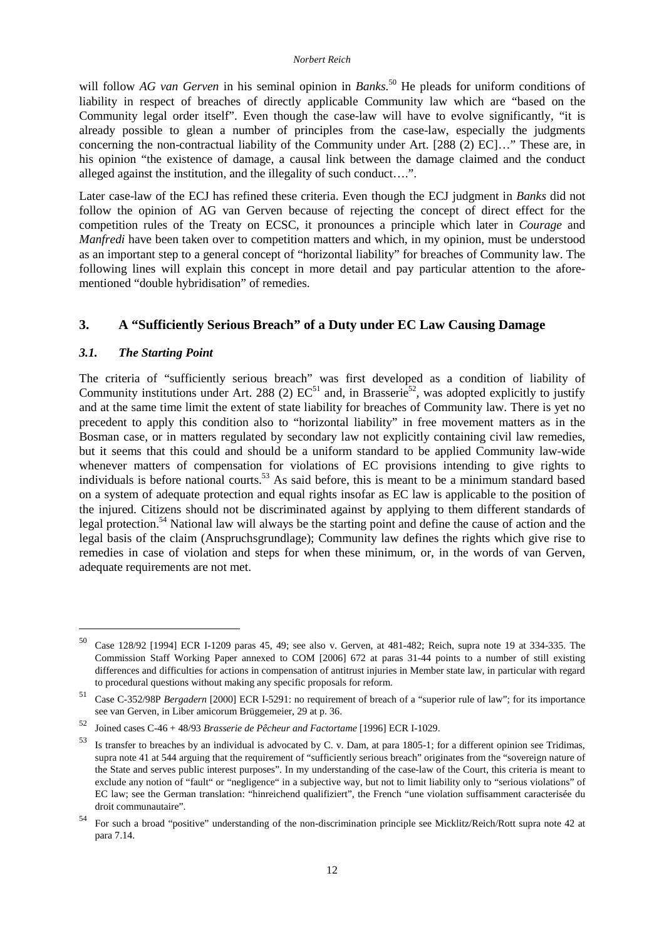will follow *AG van Gerven* in his seminal opinion in *Banks*.<sup>50</sup> He pleads for uniform conditions of liability in respect of breaches of directly applicable Community law which are "based on the Community legal order itself". Even though the case-law will have to evolve significantly, "it is already possible to glean a number of principles from the case-law, especially the judgments concerning the non-contractual liability of the Community under Art. [288 (2) EC]…" These are, in his opinion "the existence of damage, a causal link between the damage claimed and the conduct alleged against the institution, and the illegality of such conduct….".

Later case-law of the ECJ has refined these criteria. Even though the ECJ judgment in *Banks* did not follow the opinion of AG van Gerven because of rejecting the concept of direct effect for the competition rules of the Treaty on ECSC, it pronounces a principle which later in *Courage* and *Manfredi* have been taken over to competition matters and which, in my opinion, must be understood as an important step to a general concept of "horizontal liability" for breaches of Community law. The following lines will explain this concept in more detail and pay particular attention to the aforementioned "double hybridisation" of remedies.

## **3. A "Sufficiently Serious Breach" of a Duty under EC Law Causing Damage**

## *3.1. The Starting Point*

 $\overline{a}$ 

The criteria of "sufficiently serious breach" was first developed as a condition of liability of Community institutions under Art. 288 (2)  $EC^{51}$  and, in Brasserie<sup>52</sup>, was adopted explicitly to justify and at the same time limit the extent of state liability for breaches of Community law. There is yet no precedent to apply this condition also to "horizontal liability" in free movement matters as in the Bosman case, or in matters regulated by secondary law not explicitly containing civil law remedies, but it seems that this could and should be a uniform standard to be applied Community law-wide whenever matters of compensation for violations of EC provisions intending to give rights to individuals is before national courts.<sup>53</sup> As said before, this is meant to be a minimum standard based on a system of adequate protection and equal rights insofar as EC law is applicable to the position of the injured. Citizens should not be discriminated against by applying to them different standards of legal protection.<sup>54</sup> National law will always be the starting point and define the cause of action and the legal basis of the claim (Anspruchsgrundlage); Community law defines the rights which give rise to remedies in case of violation and steps for when these minimum, or, in the words of van Gerven, adequate requirements are not met.

<sup>50</sup> Case 128/92 [1994] ECR I-1209 paras 45, 49; see also v. Gerven, at 481-482; Reich, supra note 19 at 334-335. The Commission Staff Working Paper annexed to COM [2006] 672 at paras 31-44 points to a number of still existing differences and difficulties for actions in compensation of antitrust injuries in Member state law, in particular with regard to procedural questions without making any specific proposals for reform.

<sup>51</sup> Case C-352/98P *Bergadern* [2000] ECR I-5291: no requirement of breach of a "superior rule of law"; for its importance see van Gerven, in Liber amicorum Brüggemeier, 29 at p. 36.

<sup>52</sup> Joined cases C-46 + 48/93 *Brasserie de Pêcheur and Factortame* [1996] ECR I-1029.

<sup>53</sup> Is transfer to breaches by an individual is advocated by C. v. Dam, at para 1805-1; for a different opinion see Tridimas, supra note 41 at 544 arguing that the requirement of "sufficiently serious breach" originates from the "sovereign nature of the State and serves public interest purposes". In my understanding of the case-law of the Court, this criteria is meant to exclude any notion of "fault" or "negligence" in a subjective way, but not to limit liability only to "serious violations" of EC law; see the German translation: "hinreichend qualifiziert", the French "une violation suffisamment caracterisée du droit communautaire".

<sup>54</sup> For such a broad "positive" understanding of the non-discrimination principle see Micklitz/Reich/Rott supra note 42 at para 7.14.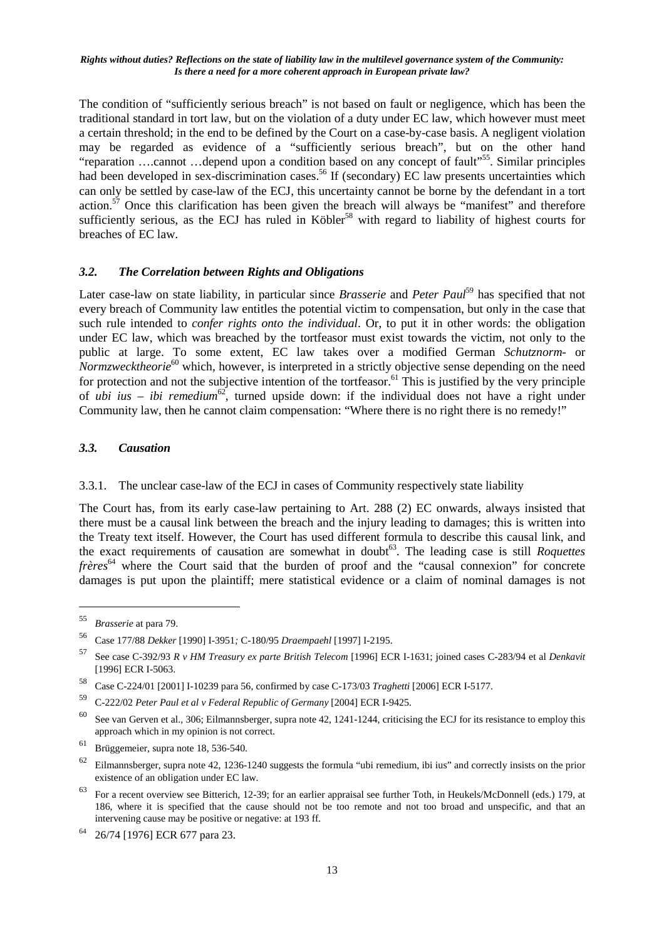The condition of "sufficiently serious breach" is not based on fault or negligence, which has been the traditional standard in tort law, but on the violation of a duty under EC law, which however must meet a certain threshold; in the end to be defined by the Court on a case-by-case basis. A negligent violation may be regarded as evidence of a "sufficiently serious breach", but on the other hand "reparation ....cannot ...depend upon a condition based on any concept of fault<sup>555</sup>. Similar principles had been developed in sex-discrimination cases.<sup>56</sup> If (secondary) EC law presents uncertainties which can only be settled by case-law of the ECJ, this uncertainty cannot be borne by the defendant in a tort action.<sup>57</sup> Once this clarification has been given the breach will always be "manifest" and therefore sufficiently serious, as the ECJ has ruled in Köbler<sup>58</sup> with regard to liability of highest courts for breaches of EC law.

## *3.2. The Correlation between Rights and Obligations*

Later case-law on state liability, in particular since *Brasserie* and *Peter Paul*<sup>59</sup> has specified that not every breach of Community law entitles the potential victim to compensation, but only in the case that such rule intended to *confer rights onto the individual*. Or, to put it in other words: the obligation under EC law, which was breached by the tortfeasor must exist towards the victim, not only to the public at large. To some extent, EC law takes over a modified German *Schutznorm-* or *Normzwecktheorie*<sup>60</sup> which, however, is interpreted in a strictly objective sense depending on the need for protection and not the subjective intention of the tortfeasor.<sup>61</sup> This is justified by the very principle of *ubi ius – ibi remedium*<sup>62</sup>, turned upside down: if the individual does not have a right under Community law, then he cannot claim compensation: "Where there is no right there is no remedy!"

## *3.3. Causation*

## 3.3.1. The unclear case-law of the ECJ in cases of Community respectively state liability

The Court has, from its early case-law pertaining to Art. 288 (2) EC onwards, always insisted that there must be a causal link between the breach and the injury leading to damages; this is written into the Treaty text itself. However, the Court has used different formula to describe this causal link, and the exact requirements of causation are somewhat in doubt<sup>63</sup>. The leading case is still *Roquettes frères*<sup>64</sup> where the Court said that the burden of proof and the "causal connexion" for concrete damages is put upon the plaintiff; mere statistical evidence or a claim of nominal damages is not

l

<sup>55</sup> *Brasserie* at para 79.

<sup>56</sup> Case 177/88 *Dekker* [1990] I-3951*;* C-180/95 *Draempaehl* [1997] I-2195.

<sup>57</sup> See case C-392/93 *R v HM Treasury ex parte British Telecom* [1996] ECR I-1631; joined cases C-283/94 et al *Denkavit* [1996] ECR I-5063.

<sup>58</sup> Case C-224/01 [2001] I-10239 para 56, confirmed by case C-173/03 *Traghetti* [2006] ECR I-5177.

<sup>59</sup> C-222/02 *Peter Paul et al v Federal Republic of Germany* [2004] ECR I-9425.

 $60$  See van Gerven et al., 306; Eilmannsberger, supra note 42, 1241-1244, criticising the ECJ for its resistance to employ this approach which in my opinion is not correct.

<sup>61</sup> Brüggemeier, supra note 18, 536-540.

 $62$  Eilmannsberger, supra note 42, 1236-1240 suggests the formula "ubi remedium, ibi ius" and correctly insists on the prior existence of an obligation under EC law.

<sup>63</sup> For a recent overview see Bitterich, 12-39; for an earlier appraisal see further Toth, in Heukels/McDonnell (eds.) 179, at 186, where it is specified that the cause should not be too remote and not too broad and unspecific, and that an intervening cause may be positive or negative: at 193 ff.

<sup>26/74 [1976]</sup> ECR 677 para 23.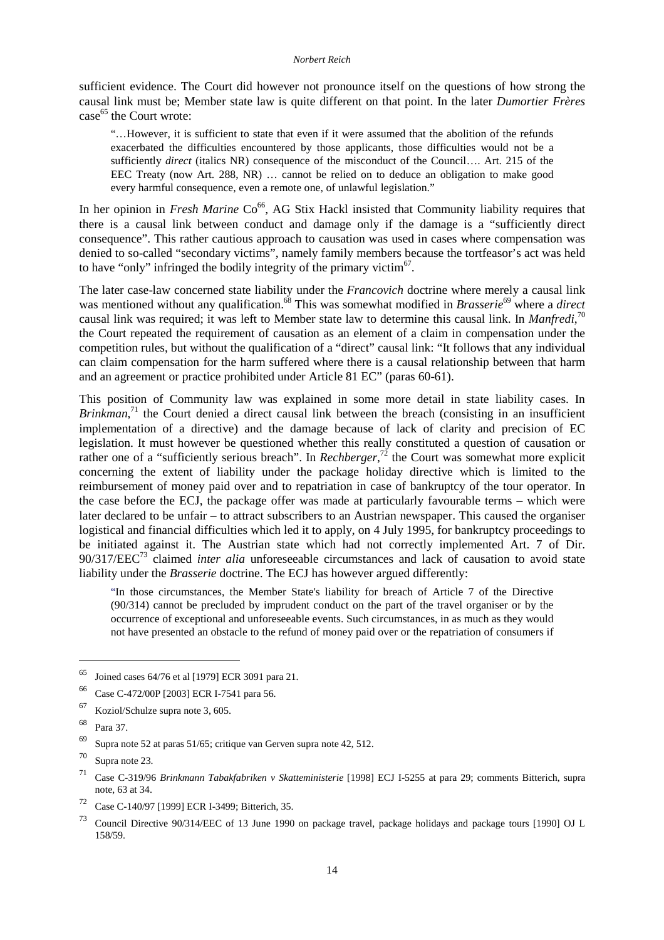#### *Norbert Reich*

sufficient evidence. The Court did however not pronounce itself on the questions of how strong the causal link must be; Member state law is quite different on that point. In the later *Dumortier Frères* case<sup>65</sup> the Court wrote:

"…However, it is sufficient to state that even if it were assumed that the abolition of the refunds exacerbated the difficulties encountered by those applicants, those difficulties would not be a sufficiently *direct* (italics NR) consequence of the misconduct of the Council…. Art. 215 of the EEC Treaty (now Art. 288, NR) … cannot be relied on to deduce an obligation to make good every harmful consequence, even a remote one, of unlawful legislation."

In her opinion in *Fresh Marine* Co<sup>66</sup>, AG Stix Hackl insisted that Community liability requires that there is a causal link between conduct and damage only if the damage is a "sufficiently direct consequence". This rather cautious approach to causation was used in cases where compensation was denied to so-called "secondary victims", namely family members because the tortfeasor's act was held to have "only" infringed the bodily integrity of the primary victim $67$ .

The later case-law concerned state liability under the *Francovich* doctrine where merely a causal link was mentioned without any qualification.<sup>68</sup> This was somewhat modified in *Brasserie*<sup>69</sup> where a *direct*  $\frac{d}{dx}$ causal link was required; it was left to Member state law to determine this causal link. In *Manfredi*, 70 the Court repeated the requirement of causation as an element of a claim in compensation under the competition rules, but without the qualification of a "direct" causal link: "It follows that any individual can claim compensation for the harm suffered where there is a causal relationship between that harm and an agreement or practice prohibited under Article 81 EC" (paras 60-61).

This position of Community law was explained in some more detail in state liability cases. In Brinkman,<sup>71</sup> the Court denied a direct causal link between the breach (consisting in an insufficient implementation of a directive) and the damage because of lack of clarity and precision of EC legislation. It must however be questioned whether this really constituted a question of causation or rather one of a "sufficiently serious breach". In *Rechberger*,<sup>72</sup> the Court was somewhat more explicit concerning the extent of liability under the package holiday directive which is limited to the reimbursement of money paid over and to repatriation in case of bankruptcy of the tour operator. In the case before the ECJ, the package offer was made at particularly favourable terms – which were later declared to be unfair – to attract subscribers to an Austrian newspaper. This caused the organiser logistical and financial difficulties which led it to apply, on 4 July 1995, for bankruptcy proceedings to be initiated against it. The Austrian state which had not correctly implemented Art. 7 of Dir. 90/317/EEC<sup>73</sup> claimed *inter alia* unforeseeable circumstances and lack of causation to avoid state liability under the *Brasserie* doctrine. The ECJ has however argued differently:

"In those circumstances, the Member State's liability for breach of Article 7 of the Directive (90/314) cannot be precluded by imprudent conduct on the part of the travel organiser or by the occurrence of exceptional and unforeseeable events. Such circumstances, in as much as they would not have presented an obstacle to the refund of money paid over or the repatriation of consumers if

l

<sup>65</sup> Joined cases 64/76 et al [1979] ECR 3091 para 21.

<sup>66</sup> Case C-472/00P [2003] ECR I-7541 para 56.

<sup>67</sup> Koziol/Schulze supra note 3, 605.

<sup>68</sup> Para 37.

<sup>69</sup> Supra note 52 at paras 51/65; critique van Gerven supra note 42, 512.

<sup>70</sup> Supra note 23.

<sup>71</sup> Case C-319/96 *Brinkmann Tabakfabriken v Skatteministerie* [1998] ECJ I-5255 at para 29; comments Bitterich, supra note, 63 at 34.

<sup>72</sup> Case C-140/97 [1999] ECR I-3499; Bitterich, 35.

<sup>73</sup> Council Directive 90/314/EEC of 13 June 1990 on package travel, package holidays and package tours [1990] OJ L 158/59.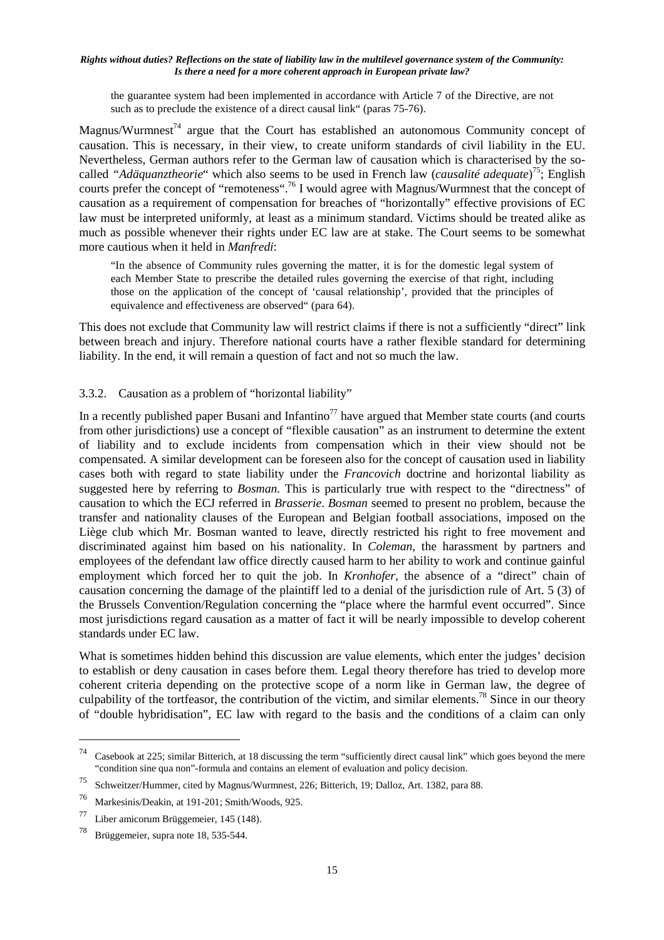the guarantee system had been implemented in accordance with Article 7 of the Directive, are not such as to preclude the existence of a direct causal link" (paras 75-76).

Magnus/Wurmnest<sup>74</sup> argue that the Court has established an autonomous Community concept of causation. This is necessary, in their view, to create uniform standards of civil liability in the EU. Nevertheless, German authors refer to the German law of causation which is characterised by the socalled *"Adäquanztheorie*" which also seems to be used in French law (*causalité adequate*) <sup>75</sup>; English courts prefer the concept of "remoteness".<sup>76</sup> I would agree with Magnus/Wurmnest that the concept of causation as a requirement of compensation for breaches of "horizontally" effective provisions of EC law must be interpreted uniformly, at least as a minimum standard. Victims should be treated alike as much as possible whenever their rights under EC law are at stake. The Court seems to be somewhat more cautious when it held in *Manfredi*:

"In the absence of Community rules governing the matter, it is for the domestic legal system of each Member State to prescribe the detailed rules governing the exercise of that right, including those on the application of the concept of 'causal relationship', provided that the principles of equivalence and effectiveness are observed" (para 64).

This does not exclude that Community law will restrict claims if there is not a sufficiently "direct" link between breach and injury. Therefore national courts have a rather flexible standard for determining liability. In the end, it will remain a question of fact and not so much the law.

## 3.3.2. Causation as a problem of "horizontal liability"

In a recently published paper Busani and Infantino<sup>77</sup> have argued that Member state courts (and courts from other jurisdictions) use a concept of "flexible causation" as an instrument to determine the extent of liability and to exclude incidents from compensation which in their view should not be compensated. A similar development can be foreseen also for the concept of causation used in liability cases both with regard to state liability under the *Francovich* doctrine and horizontal liability as suggested here by referring to *Bosman.* This is particularly true with respect to the "directness" of causation to which the ECJ referred in *Brasserie*. *Bosman* seemed to present no problem, because the transfer and nationality clauses of the European and Belgian football associations, imposed on the Liège club which Mr. Bosman wanted to leave, directly restricted his right to free movement and discriminated against him based on his nationality. In *Coleman,* the harassment by partners and employees of the defendant law office directly caused harm to her ability to work and continue gainful employment which forced her to quit the job. In *Kronhofer,* the absence of a "direct" chain of causation concerning the damage of the plaintiff led to a denial of the jurisdiction rule of Art. 5 (3) of the Brussels Convention/Regulation concerning the "place where the harmful event occurred". Since most jurisdictions regard causation as a matter of fact it will be nearly impossible to develop coherent standards under EC law.

What is sometimes hidden behind this discussion are value elements, which enter the judges' decision to establish or deny causation in cases before them. Legal theory therefore has tried to develop more coherent criteria depending on the protective scope of a norm like in German law, the degree of culpability of the tortfeasor, the contribution of the victim, and similar elements.<sup>78</sup> Since in our theory of "double hybridisation", EC law with regard to the basis and the conditions of a claim can only

<sup>74</sup> Casebook at 225; similar Bitterich, at 18 discussing the term "sufficiently direct causal link" which goes beyond the mere "condition sine qua non"-formula and contains an element of evaluation and policy decision.

<sup>75</sup> Schweitzer/Hummer, cited by Magnus/Wurmnest, 226; Bitterich, 19; Dalloz, Art. 1382, para 88.

<sup>76</sup> Markesinis/Deakin, at 191-201; Smith/Woods, 925.

<sup>77</sup> Liber amicorum Brüggemeier, 145 (148).

<sup>78</sup> Brüggemeier, supra note 18, 535-544.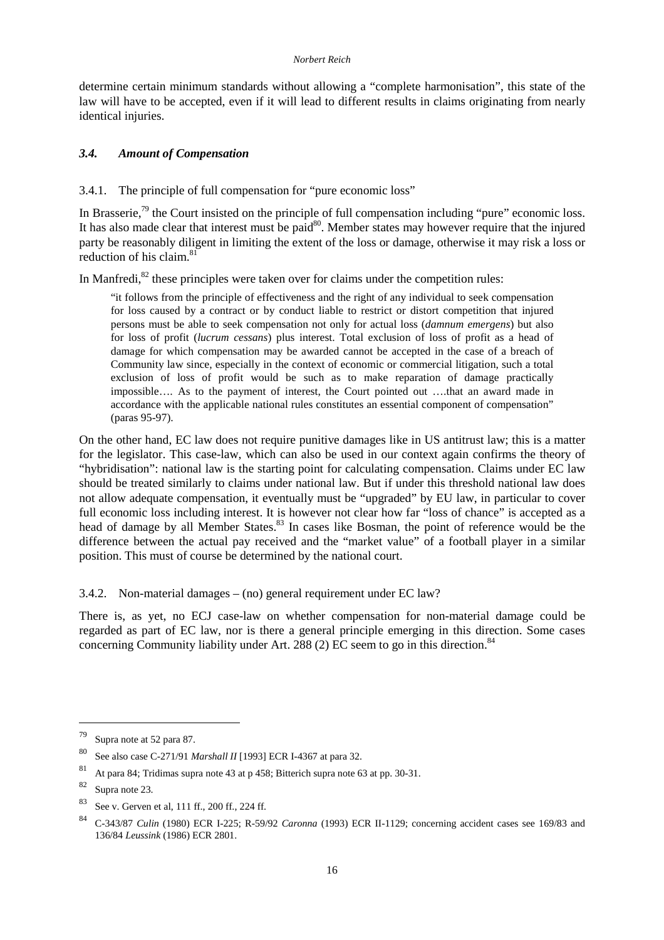#### *Norbert Reich*

determine certain minimum standards without allowing a "complete harmonisation", this state of the law will have to be accepted, even if it will lead to different results in claims originating from nearly identical injuries.

## *3.4. Amount of Compensation*

3.4.1. The principle of full compensation for "pure economic loss"

In Brasserie,<sup>79</sup> the Court insisted on the principle of full compensation including "pure" economic loss. It has also made clear that interest must be paid<sup>80</sup>. Member states may however require that the injured party be reasonably diligent in limiting the extent of the loss or damage, otherwise it may risk a loss or reduction of his claim.<sup>81</sup>

In Manfredi, $82$  these principles were taken over for claims under the competition rules:

"it follows from the principle of effectiveness and the right of any individual to seek compensation for loss caused by a contract or by conduct liable to restrict or distort competition that injured persons must be able to seek compensation not only for actual loss (*damnum emergens*) but also for loss of profit (*lucrum cessans*) plus interest. Total exclusion of loss of profit as a head of damage for which compensation may be awarded cannot be accepted in the case of a breach of Community law since, especially in the context of economic or commercial litigation, such a total exclusion of loss of profit would be such as to make reparation of damage practically impossible…. As to the payment of interest, the Court pointed out ….that an award made in accordance with the applicable national rules constitutes an essential component of compensation" (paras 95-97).

On the other hand, EC law does not require punitive damages like in US antitrust law; this is a matter for the legislator. This case-law, which can also be used in our context again confirms the theory of "hybridisation": national law is the starting point for calculating compensation. Claims under EC law should be treated similarly to claims under national law. But if under this threshold national law does not allow adequate compensation, it eventually must be "upgraded" by EU law, in particular to cover full economic loss including interest. It is however not clear how far "loss of chance" is accepted as a head of damage by all Member States.<sup>83</sup> In cases like Bosman, the point of reference would be the difference between the actual pay received and the "market value" of a football player in a similar position. This must of course be determined by the national court.

3.4.2. Non-material damages – (no) general requirement under EC law?

There is, as yet, no ECJ case-law on whether compensation for non-material damage could be regarded as part of EC law, nor is there a general principle emerging in this direction. Some cases concerning Community liability under Art. 288 (2) EC seem to go in this direction. $84$ 

<sup>79</sup> Supra note at 52 para 87.

<sup>80</sup> See also case C-271/91 *Marshall II* [1993] ECR I-4367 at para 32.

<sup>81</sup> At para 84; Tridimas supra note 43 at p 458; Bitterich supra note 63 at pp. 30-31.

<sup>82</sup> Supra note 23.

<sup>83</sup> See v. Gerven et al, 111 ff., 200 ff., 224 ff.

<sup>84</sup> C-343/87 *Culin* (1980) ECR I-225; R-59/92 *Caronna* (1993) ECR II-1129; concerning accident cases see 169/83 and 136/84 *Leussink* (1986) ECR 2801.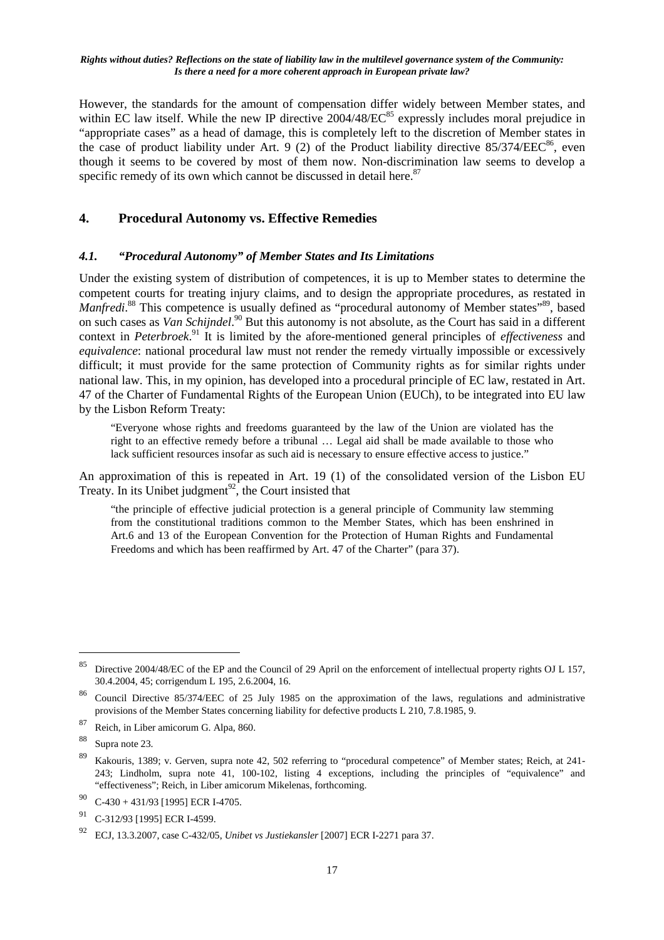However, the standards for the amount of compensation differ widely between Member states, and within EC law itself. While the new IP directive  $2004/48$ /EC<sup>85</sup> expressly includes moral prejudice in "appropriate cases" as a head of damage, this is completely left to the discretion of Member states in the case of product liability under Art. 9 (2) of the Product liability directive  $85/374/EEC^{86}$ , even though it seems to be covered by most of them now. Non-discrimination law seems to develop a specific remedy of its own which cannot be discussed in detail here.<sup>87</sup>

## **4. Procedural Autonomy vs. Effective Remedies**

## *4.1. "Procedural Autonomy" of Member States and Its Limitations*

Under the existing system of distribution of competences, it is up to Member states to determine the competent courts for treating injury claims, and to design the appropriate procedures, as restated in Manfredi.<sup>88</sup> This competence is usually defined as "procedural autonomy of Member states"<sup>89</sup>, based on such cases as *Van Schijndel*. <sup>90</sup> But this autonomy is not absolute, as the Court has said in a different context in *Peterbroek*. <sup>91</sup> It is limited by the afore-mentioned general principles of *effectiveness* and *equivalence*: national procedural law must not render the remedy virtually impossible or excessively difficult; it must provide for the same protection of Community rights as for similar rights under national law. This, in my opinion, has developed into a procedural principle of EC law, restated in Art. 47 of the Charter of Fundamental Rights of the European Union (EUCh), to be integrated into EU law by the Lisbon Reform Treaty:

"Everyone whose rights and freedoms guaranteed by the law of the Union are violated has the right to an effective remedy before a tribunal … Legal aid shall be made available to those who lack sufficient resources insofar as such aid is necessary to ensure effective access to justice."

An approximation of this is repeated in Art. 19 (1) of the consolidated version of the Lisbon EU Treaty. In its Unibet judgment<sup>92</sup>, the Court insisted that

"the principle of effective judicial protection is a general principle of Community law stemming from the constitutional traditions common to the Member States, which has been enshrined in Art.6 and 13 of the European Convention for the Protection of Human Rights and Fundamental Freedoms and which has been reaffirmed by Art. 47 of the Charter" (para 37).

<sup>&</sup>lt;sup>85</sup> Directive 2004/48/EC of the EP and the Council of 29 April on the enforcement of intellectual property rights OJ L 157, 30.4.2004, 45; corrigendum L 195, 2.6.2004, 16.

<sup>86</sup> Council Directive 85/374/EEC of 25 July 1985 on the approximation of the laws, regulations and administrative provisions of the Member States concerning liability for defective products L 210, 7.8.1985, 9.

<sup>87</sup> Reich, in Liber amicorum G. Alpa, 860.

<sup>88</sup> Supra note 23.

<sup>89</sup> Kakouris, 1389; v. Gerven, supra note 42, 502 referring to "procedural competence" of Member states; Reich, at 241- 243; Lindholm, supra note 41, 100-102, listing 4 exceptions, including the principles of "equivalence" and "effectiveness"; Reich, in Liber amicorum Mikelenas, forthcoming.

 $90$  C-430 + 431/93 [1995] ECR I-4705.

<sup>91</sup> C-312/93 [1995] ECR I-4599.

<sup>92</sup> ECJ, 13.3.2007, case C-432/05, *Unibet vs Justiekansler* [2007] ECR I-2271 para 37.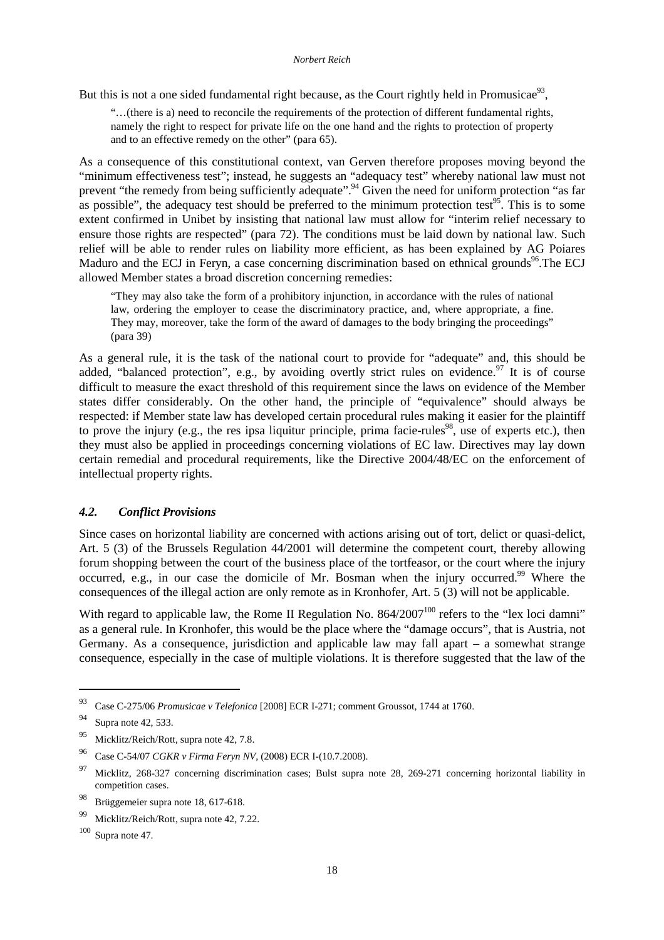But this is not a one sided fundamental right because, as the Court rightly held in Promusicae<sup>93</sup>,

"…(there is a) need to reconcile the requirements of the protection of different fundamental rights, namely the right to respect for private life on the one hand and the rights to protection of property and to an effective remedy on the other" (para 65).

As a consequence of this constitutional context, van Gerven therefore proposes moving beyond the "minimum effectiveness test"; instead, he suggests an "adequacy test" whereby national law must not prevent "the remedy from being sufficiently adequate".<sup>94</sup> Given the need for uniform protection "as far as possible", the adequacy test should be preferred to the minimum protection test<sup>95</sup>. This is to some extent confirmed in Unibet by insisting that national law must allow for "interim relief necessary to ensure those rights are respected" (para 72). The conditions must be laid down by national law. Such relief will be able to render rules on liability more efficient, as has been explained by AG Poiares Maduro and the ECJ in Feryn, a case concerning discrimination based on ethnical grounds<sup>96</sup>. The ECJ allowed Member states a broad discretion concerning remedies:

"They may also take the form of a prohibitory injunction, in accordance with the rules of national law, ordering the employer to cease the discriminatory practice, and, where appropriate, a fine. They may, moreover, take the form of the award of damages to the body bringing the proceedings" (para 39)

As a general rule, it is the task of the national court to provide for "adequate" and, this should be added, "balanced protection", e.g., by avoiding overtly strict rules on evidence. <sup>97</sup> It is of course difficult to measure the exact threshold of this requirement since the laws on evidence of the Member states differ considerably. On the other hand, the principle of "equivalence" should always be respected: if Member state law has developed certain procedural rules making it easier for the plaintiff to prove the injury (e.g., the res ipsa liquitur principle, prima facie-rules<sup>98</sup>, use of experts etc.), then they must also be applied in proceedings concerning violations of EC law. Directives may lay down certain remedial and procedural requirements, like the Directive 2004/48/EC on the enforcement of intellectual property rights.

## *4.2. Conflict Provisions*

Since cases on horizontal liability are concerned with actions arising out of tort, delict or quasi-delict, Art. 5 (3) of the Brussels Regulation 44/2001 will determine the competent court, thereby allowing forum shopping between the court of the business place of the tortfeasor, or the court where the injury occurred, e.g., in our case the domicile of Mr. Bosman when the injury occurred.<sup>99</sup> Where the consequences of the illegal action are only remote as in Kronhofer, Art. 5 (3) will not be applicable.

With regard to applicable law, the Rome II Regulation No.  $864/2007^{100}$  refers to the "lex loci damni" as a general rule. In Kronhofer, this would be the place where the "damage occurs", that is Austria, not Germany. As a consequence, jurisdiction and applicable law may fall apart – a somewhat strange consequence, especially in the case of multiple violations. It is therefore suggested that the law of the

<sup>93</sup> Case C-275/06 *Promusicae v Telefonica* [2008] ECR I-271; comment Groussot, 1744 at 1760.

<sup>94</sup> Supra note 42, 533.

<sup>95</sup> Micklitz/Reich/Rott, supra note 42, 7.8.

<sup>96</sup> Case C-54/07 *CGKR v Firma Feryn NV*, (2008) ECR I-(10.7.2008).

<sup>97</sup> Micklitz, 268-327 concerning discrimination cases; Bulst supra note 28, 269-271 concerning horizontal liability in competition cases.

<sup>98</sup> Brüggemeier supra note 18, 617-618.

<sup>99</sup> Micklitz/Reich/Rott, supra note 42, 7.22.

 $100$  Supra note 47.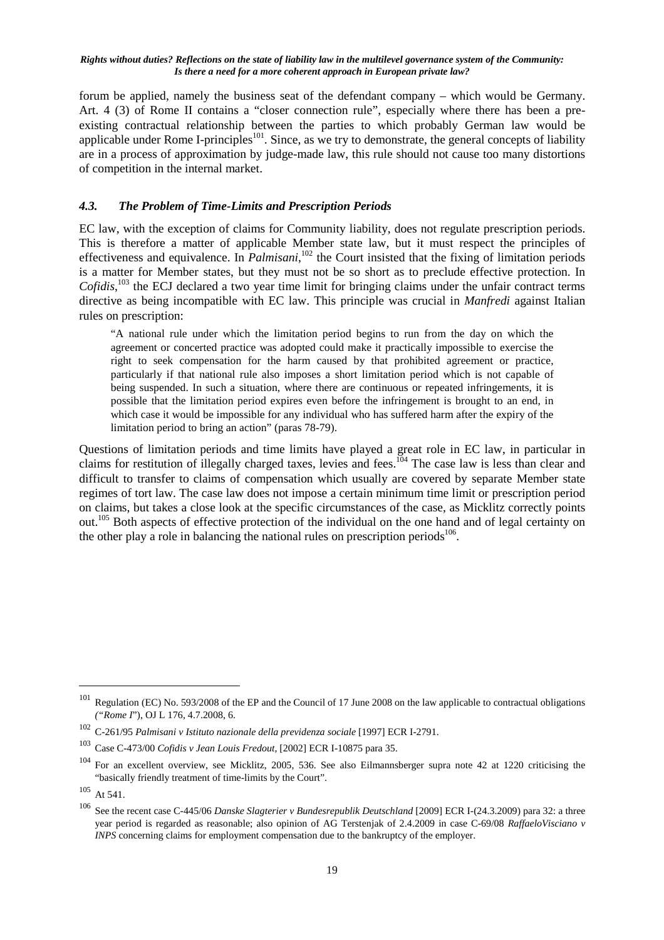forum be applied, namely the business seat of the defendant company – which would be Germany. Art. 4 (3) of Rome II contains a "closer connection rule", especially where there has been a preexisting contractual relationship between the parties to which probably German law would be applicable under Rome I-principles<sup>101</sup>. Since, as we try to demonstrate, the general concepts of liability are in a process of approximation by judge-made law, this rule should not cause too many distortions of competition in the internal market.

## *4.3. The Problem of Time-Limits and Prescription Periods*

EC law, with the exception of claims for Community liability, does not regulate prescription periods. This is therefore a matter of applicable Member state law, but it must respect the principles of effectiveness and equivalence. In *Palmisani*,<sup>102</sup> the Court insisted that the fixing of limitation periods is a matter for Member states, but they must not be so short as to preclude effective protection. In Cofidis,<sup>103</sup> the ECJ declared a two year time limit for bringing claims under the unfair contract terms directive as being incompatible with EC law. This principle was crucial in *Manfredi* against Italian rules on prescription:

"A national rule under which the limitation period begins to run from the day on which the agreement or concerted practice was adopted could make it practically impossible to exercise the right to seek compensation for the harm caused by that prohibited agreement or practice, particularly if that national rule also imposes a short limitation period which is not capable of being suspended. In such a situation, where there are continuous or repeated infringements, it is possible that the limitation period expires even before the infringement is brought to an end, in which case it would be impossible for any individual who has suffered harm after the expiry of the limitation period to bring an action" (paras 78-79).

Questions of limitation periods and time limits have played a great role in EC law, in particular in claims for restitution of illegally charged taxes, levies and fees.<sup>104</sup> The case law is less than clear and difficult to transfer to claims of compensation which usually are covered by separate Member state regimes of tort law. The case law does not impose a certain minimum time limit or prescription period on claims, but takes a close look at the specific circumstances of the case, as Micklitz correctly points out.<sup>105</sup> Both aspects of effective protection of the individual on the one hand and of legal certainty on the other play a role in balancing the national rules on prescription periods<sup>106</sup>.

Regulation (EC) No. 593/2008 of the EP and the Council of 17 June 2008 on the law applicable to contractual obligations *("Rome I*"), OJ L 176, 4.7.2008, 6.

<sup>102</sup> C-261/95 *Palmisani v Istituto nazionale della previdenza sociale* [1997] ECR I-2791.

<sup>103</sup> Case C-473/00 *Cofidis v Jean Louis Fredout*, [2002] ECR I-10875 para 35.

<sup>104</sup> For an excellent overview, see Micklitz, 2005, 536. See also Eilmannsberger supra note 42 at 1220 criticising the "basically friendly treatment of time-limits by the Court".

 $105$  At 541.

<sup>106</sup> See the recent case C-445/06 *Danske Slagterier v Bundesrepublik Deutschland* [2009] ECR I-(24.3.2009) para 32: a three year period is regarded as reasonable; also opinion of AG Terstenjak of 2.4.2009 in case C-69/08 *RaffaeloVisciano v INPS* concerning claims for employment compensation due to the bankruptcy of the employer.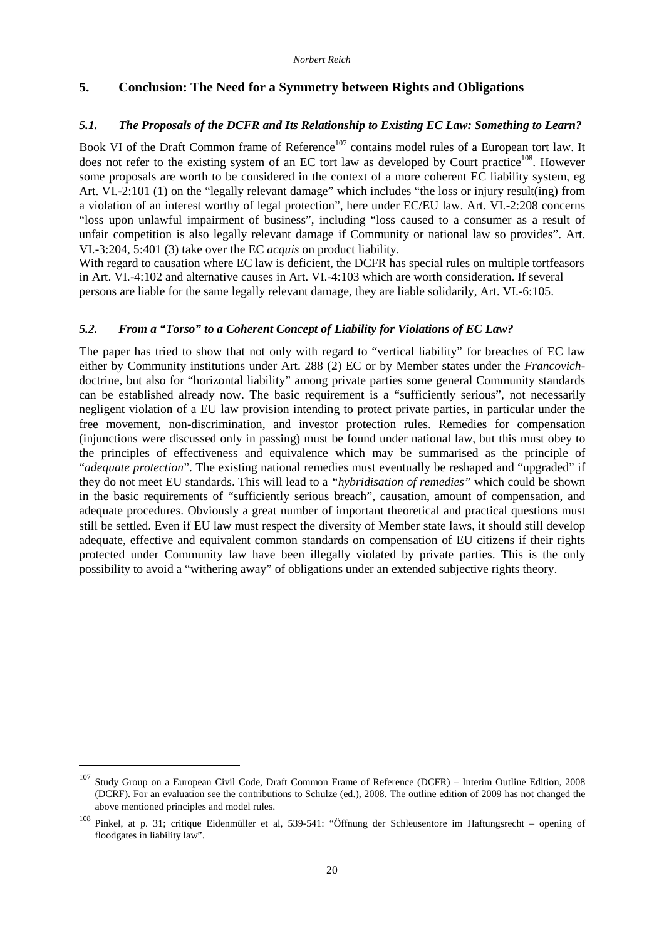## **5. Conclusion: The Need for a Symmetry between Rights and Obligations**

## *5.1. The Proposals of the DCFR and Its Relationship to Existing EC Law: Something to Learn?*

Book VI of the Draft Common frame of Reference<sup>107</sup> contains model rules of a European tort law. It does not refer to the existing system of an EC tort law as developed by Court practice<sup>108</sup>. However some proposals are worth to be considered in the context of a more coherent EC liability system, eg Art. VI.-2:101 (1) on the "legally relevant damage" which includes "the loss or injury result(ing) from a violation of an interest worthy of legal protection", here under EC/EU law. Art. VI.-2:208 concerns "loss upon unlawful impairment of business", including "loss caused to a consumer as a result of unfair competition is also legally relevant damage if Community or national law so provides". Art. VI.-3:204, 5:401 (3) take over the EC *acquis* on product liability.

With regard to causation where EC law is deficient, the DCFR has special rules on multiple tortfeasors in Art. VI.-4:102 and alternative causes in Art. VI.-4:103 which are worth consideration. If several persons are liable for the same legally relevant damage, they are liable solidarily, Art. VI.-6:105.

## *5.2. From a "Torso" to a Coherent Concept of Liability for Violations of EC Law?*

The paper has tried to show that not only with regard to "vertical liability" for breaches of EC law either by Community institutions under Art. 288 (2) EC or by Member states under the *Francovich*doctrine, but also for "horizontal liability" among private parties some general Community standards can be established already now. The basic requirement is a "sufficiently serious", not necessarily negligent violation of a EU law provision intending to protect private parties, in particular under the free movement, non-discrimination, and investor protection rules. Remedies for compensation (injunctions were discussed only in passing) must be found under national law, but this must obey to the principles of effectiveness and equivalence which may be summarised as the principle of "*adequate protection*". The existing national remedies must eventually be reshaped and "upgraded" if they do not meet EU standards. This will lead to a *"hybridisation of remedies"* which could be shown in the basic requirements of "sufficiently serious breach", causation, amount of compensation, and adequate procedures. Obviously a great number of important theoretical and practical questions must still be settled. Even if EU law must respect the diversity of Member state laws, it should still develop adequate, effective and equivalent common standards on compensation of EU citizens if their rights protected under Community law have been illegally violated by private parties. This is the only possibility to avoid a "withering away" of obligations under an extended subjective rights theory.

<sup>107</sup> Study Group on a European Civil Code, Draft Common Frame of Reference (DCFR) – Interim Outline Edition, 2008 (DCRF). For an evaluation see the contributions to Schulze (ed.), 2008. The outline edition of 2009 has not changed the above mentioned principles and model rules.

<sup>108</sup> Pinkel, at p. 31; critique Eidenmüller et al, 539-541: "Öffnung der Schleusentore im Haftungsrecht – opening of floodgates in liability law".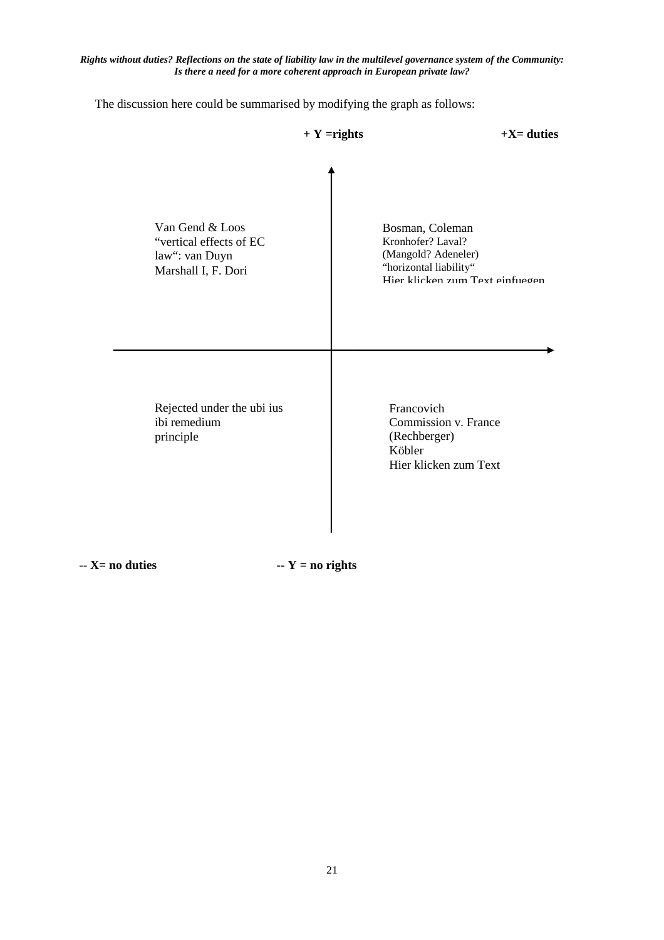The discussion here could be summarised by modifying the graph as follows:



 $-X=$  no duties  $-Y=$  no rights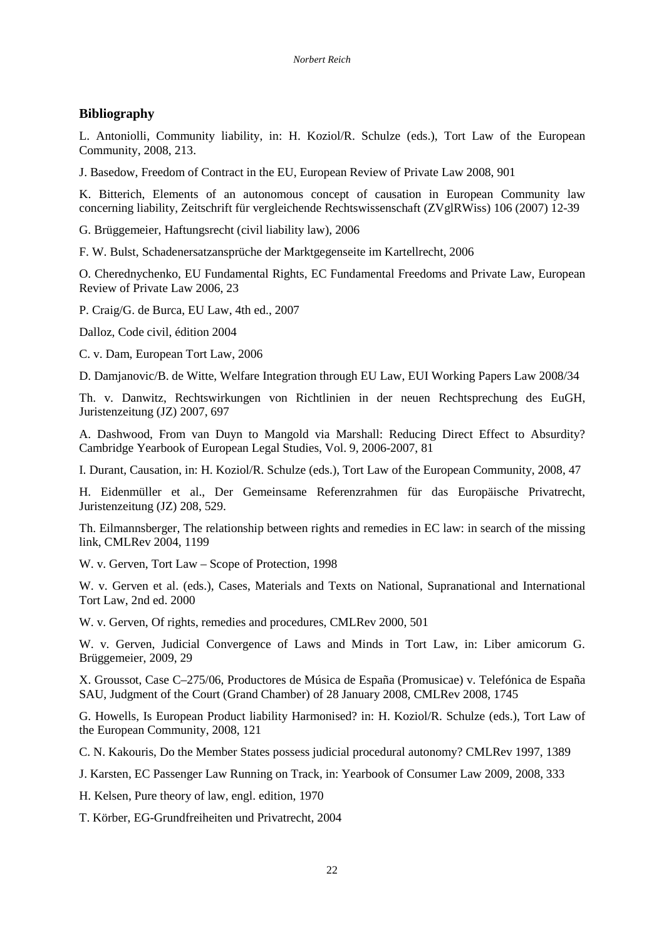## **Bibliography**

L. Antoniolli, Community liability, in: H. Koziol/R. Schulze (eds.), Tort Law of the European Community, 2008, 213.

J. Basedow, Freedom of Contract in the EU, European Review of Private Law 2008, 901

K. Bitterich, Elements of an autonomous concept of causation in European Community law concerning liability, Zeitschrift für vergleichende Rechtswissenschaft (ZVglRWiss) 106 (2007) 12-39

G. Brüggemeier, Haftungsrecht (civil liability law), 2006

F. W. Bulst, Schadenersatzansprüche der Marktgegenseite im Kartellrecht, 2006

O. Cherednychenko, EU Fundamental Rights, EC Fundamental Freedoms and Private Law, European Review of Private Law 2006, 23

P. Craig/G. de Burca, EU Law, 4th ed., 2007

Dalloz, Code civil, édition 2004

C. v. Dam, European Tort Law, 2006

D. Damjanovic/B. de Witte, Welfare Integration through EU Law, EUI Working Papers Law 2008/34

Th. v. Danwitz, Rechtswirkungen von Richtlinien in der neuen Rechtsprechung des EuGH, Juristenzeitung (JZ) 2007, 697

A. Dashwood, From van Duyn to Mangold via Marshall: Reducing Direct Effect to Absurdity? Cambridge Yearbook of European Legal Studies, Vol. 9, 2006-2007, 81

I. Durant, Causation, in: H. Koziol/R. Schulze (eds.), Tort Law of the European Community, 2008, 47

H. Eidenmüller et al., Der Gemeinsame Referenzrahmen für das Europäische Privatrecht, Juristenzeitung (JZ) 208, 529.

Th. Eilmannsberger, The relationship between rights and remedies in EC law: in search of the missing link, CMLRev 2004, 1199

W. v. Gerven, Tort Law – Scope of Protection, 1998

W. v. Gerven et al. (eds.), Cases, Materials and Texts on National, Supranational and International Tort Law, 2nd ed. 2000

W. v. Gerven, Of rights, remedies and procedures, CMLRev 2000, 501

W. v. Gerven, Judicial Convergence of Laws and Minds in Tort Law, in: Liber amicorum G. Brüggemeier, 2009, 29

X. Groussot, Case C–275/06, Productores de Música de España (Promusicae) v. Telefónica de España SAU, Judgment of the Court (Grand Chamber) of 28 January 2008, CMLRev 2008, 1745

G. Howells, Is European Product liability Harmonised? in: H. Koziol/R. Schulze (eds.), Tort Law of the European Community, 2008, 121

C. N. Kakouris, Do the Member States possess judicial procedural autonomy? CMLRev 1997, 1389

J. Karsten, EC Passenger Law Running on Track, in: Yearbook of Consumer Law 2009, 2008, 333

H. Kelsen, Pure theory of law, engl. edition, 1970

T. Körber, EG-Grundfreiheiten und Privatrecht, 2004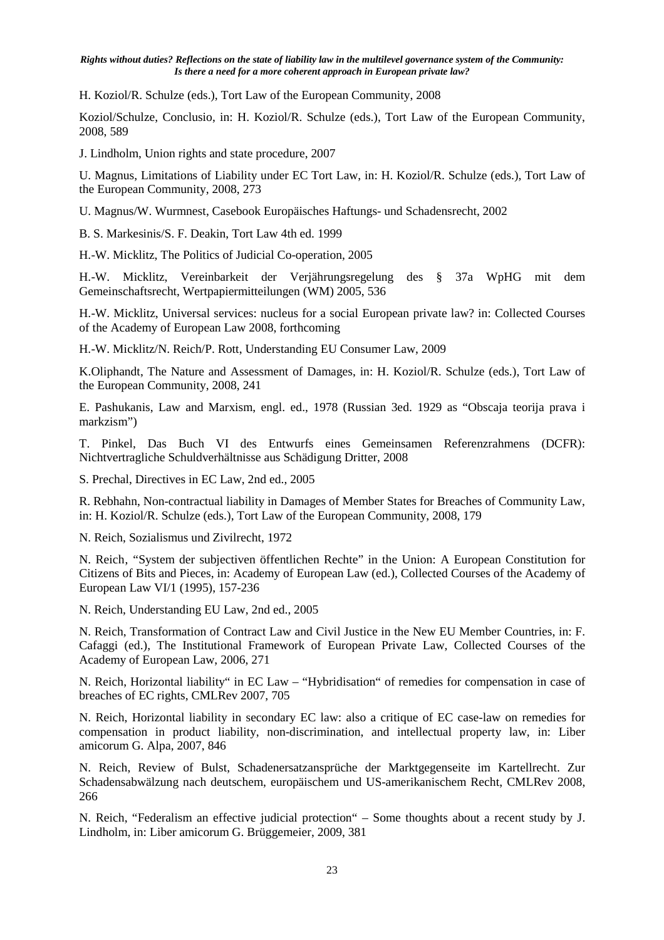H. Koziol/R. Schulze (eds.), Tort Law of the European Community, 2008

Koziol/Schulze, Conclusio, in: H. Koziol/R. Schulze (eds.), Tort Law of the European Community, 2008, 589

J. Lindholm, Union rights and state procedure, 2007

U. Magnus, Limitations of Liability under EC Tort Law, in: H. Koziol/R. Schulze (eds.), Tort Law of the European Community, 2008, 273

U. Magnus/W. Wurmnest, Casebook Europäisches Haftungs- und Schadensrecht, 2002

B. S. Markesinis/S. F. Deakin, Tort Law 4th ed. 1999

H.-W. Micklitz, The Politics of Judicial Co-operation, 2005

H.-W. Micklitz, Vereinbarkeit der Verjährungsregelung des § 37a WpHG mit dem Gemeinschaftsrecht, Wertpapiermitteilungen (WM) 2005, 536

H.-W. Micklitz, Universal services: nucleus for a social European private law? in: Collected Courses of the Academy of European Law 2008, forthcoming

H.-W. Micklitz/N. Reich/P. Rott, Understanding EU Consumer Law, 2009

K.Oliphandt, The Nature and Assessment of Damages, in: H. Koziol/R. Schulze (eds.), Tort Law of the European Community, 2008, 241

E. Pashukanis, Law and Marxism, engl. ed., 1978 (Russian 3ed. 1929 as "Obscaja teorija prava i markzism")

T. Pinkel, Das Buch VI des Entwurfs eines Gemeinsamen Referenzrahmens (DCFR): Nichtvertragliche Schuldverhältnisse aus Schädigung Dritter, 2008

S. Prechal, Directives in EC Law, 2nd ed., 2005

R. Rebhahn, Non-contractual liability in Damages of Member States for Breaches of Community Law, in: H. Koziol/R. Schulze (eds.), Tort Law of the European Community, 2008, 179

N. Reich, Sozialismus und Zivilrecht, 1972

N. Reich' "System der subjectiven öffentlichen Rechte" in the Union: A European Constitution for Citizens of Bits and Pieces, in: Academy of European Law (ed.), Collected Courses of the Academy of European Law VI/1 (1995), 157-236

N. Reich, Understanding EU Law, 2nd ed., 2005

N. Reich, Transformation of Contract Law and Civil Justice in the New EU Member Countries, in: F. Cafaggi (ed.), The Institutional Framework of European Private Law, Collected Courses of the Academy of European Law, 2006, 271

N. Reich, Horizontal liability" in EC Law – "Hybridisation" of remedies for compensation in case of breaches of EC rights, CMLRev 2007, 705

N. Reich, Horizontal liability in secondary EC law: also a critique of EC case-law on remedies for compensation in product liability, non-discrimination, and intellectual property law, in: Liber amicorum G. Alpa, 2007, 846

N. Reich, Review of Bulst, Schadenersatzansprüche der Marktgegenseite im Kartellrecht. Zur Schadensabwälzung nach deutschem, europäischem und US-amerikanischem Recht, CMLRev 2008, 266

N. Reich, "Federalism an effective judicial protection" – Some thoughts about a recent study by J. Lindholm, in: Liber amicorum G. Brüggemeier, 2009, 381